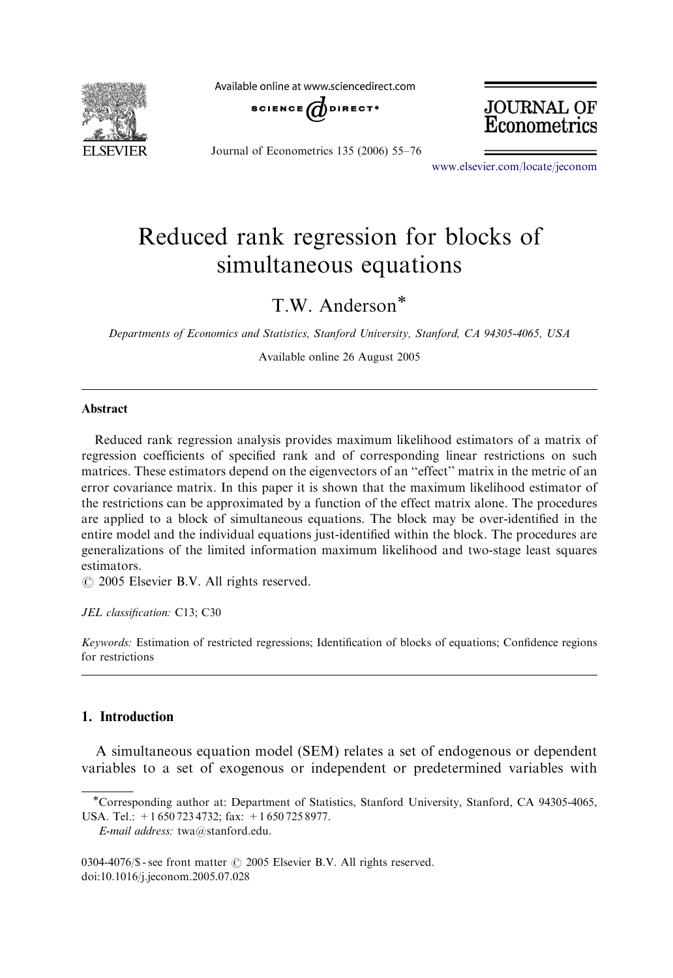

Available online at www.sciencedirect.com



JOURNAL OF Econometrics

Journal of Econometrics 135 (2006) 55–76

<www.elsevier.com/locate/jeconom>

# Reduced rank regression for blocks of simultaneous equations

T.W. Anderson

Departments of Economics and Statistics, Stanford University, Stanford, CA 94305-4065, USA

Available online 26 August 2005

#### Abstract

Reduced rank regression analysis provides maximum likelihood estimators of a matrix of regression coefficients of specified rank and of corresponding linear restrictions on such matrices. These estimators depend on the eigenvectors of an "effect" matrix in the metric of an error covariance matrix. In this paper it is shown that the maximum likelihood estimator of the restrictions can be approximated by a function of the effect matrix alone. The procedures are applied to a block of simultaneous equations. The block may be over-identified in the entire model and the individual equations just-identified within the block. The procedures are generalizations of the limited information maximum likelihood and two-stage least squares estimators.

 $O$  2005 Elsevier B.V. All rights reserved.

JEL classification: C13; C30

Keywords: Estimation of restricted regressions; Identification of blocks of equations; Confidence regions for restrictions

## 1. Introduction

A simultaneous equation model (SEM) relates a set of endogenous or dependent variables to a set of exogenous or independent or predetermined variables with

Corresponding author at: Department of Statistics, Stanford University, Stanford, CA 94305-4065, USA. Tel.: +1 650 723 4732; fax: +1 650 725 8977.

E-mail address: twa@stanford.edu.

<sup>0304-4076/</sup> $\$  - see front matter  $\odot$  2005 Elsevier B.V. All rights reserved. doi:10.1016/j.jeconom.2005.07.028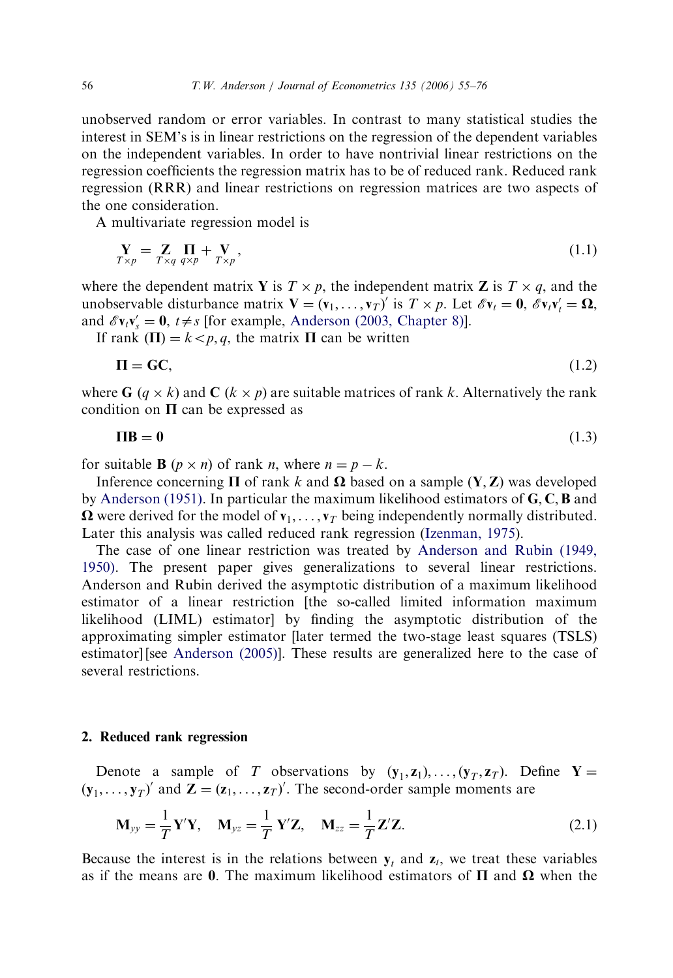unobserved random or error variables. In contrast to many statistical studies the interest in SEM's is in linear restrictions on the regression of the dependent variables on the independent variables. In order to have nontrivial linear restrictions on the regression coefficients the regression matrix has to be of reduced rank. Reduced rank regression (RRR) and linear restrictions on regression matrices are two aspects of the one consideration.

A multivariate regression model is

$$
\mathbf{Y}_{T \times p} = \mathbf{Z}_{T \times q} \prod_{q \times p} + \mathbf{V}_{T \times p},\tag{1.1}
$$

where the dependent matrix Y is  $T \times p$ , the independent matrix Z is  $T \times q$ , and the unobservable disturbance matrix  $\mathbf{V} = (\mathbf{v}_1, \dots, \mathbf{v}_T)'$  is  $T \times p$ . Let  $\mathscr{E} \mathbf{v}_t = \mathbf{0}, \mathscr{E} \mathbf{v}_t \mathbf{v}'_t = \mathbf{\Omega},$ and  $\mathscr{E}v_t v_s' = 0$ ,  $t \neq s$  [for example, [Anderson \(2003, Chapter 8\)\]](#page-21-0).

If rank  $(\Pi) = k < p, q$ , the matrix  $\Pi$  can be written

$$
\Pi = GC,\tag{1.2}
$$

where G  $(q \times k)$  and C  $(k \times p)$  are suitable matrices of rank k. Alternatively the rank condition on  $\Pi$  can be expressed as

$$
\Pi \mathbf{B} = \mathbf{0} \tag{1.3}
$$

for suitable **B**  $(p \times n)$  of rank *n*, where  $n = p - k$ .

Inference concerning  $\Pi$  of rank k and  $\Omega$  based on a sample  $(Y, Z)$  was developed by [Anderson \(1951\).](#page-21-0) In particular the maximum likelihood estimators of  $\mathbf{G}, \mathbf{C}, \mathbf{B}$  and  $\Omega$  were derived for the model of  $\mathbf{v}_1, \dots, \mathbf{v}_T$  being independently normally distributed. Later this analysis was called reduced rank regression ([Izenman, 1975](#page-21-0)).

The case of one linear restriction was treated by [Anderson and Rubin \(1949,](#page-21-0) [1950\).](#page-21-0) The present paper gives generalizations to several linear restrictions. Anderson and Rubin derived the asymptotic distribution of a maximum likelihood estimator of a linear restriction [the so-called limited information maximum likelihood (LIML) estimator] by finding the asymptotic distribution of the approximating simpler estimator [later termed the two-stage least squares (TSLS) estimator] [see [Anderson \(2005\)](#page-21-0)]. These results are generalized here to the case of several restrictions.

#### 2. Reduced rank regression

Denote a sample of T observations by  $(y_1, z_1), \ldots, (y_T, z_T)$ . Define Y =  $(\mathbf{y}_1, \dots, \mathbf{y}_T)'$  and  $\mathbf{Z} = (\mathbf{z}_1, \dots, \mathbf{z}_T)'$ . The second-order sample moments are

$$
\mathbf{M}_{yy} = \frac{1}{T} \mathbf{Y}' \mathbf{Y}, \quad \mathbf{M}_{yz} = \frac{1}{T} \mathbf{Y}' \mathbf{Z}, \quad \mathbf{M}_{zz} = \frac{1}{T} \mathbf{Z}' \mathbf{Z}.
$$
 (2.1)

Because the interest is in the relations between  $y_t$  and  $z_t$ , we treat these variables as if the means are 0. The maximum likelihood estimators of  $\Pi$  and  $\Omega$  when the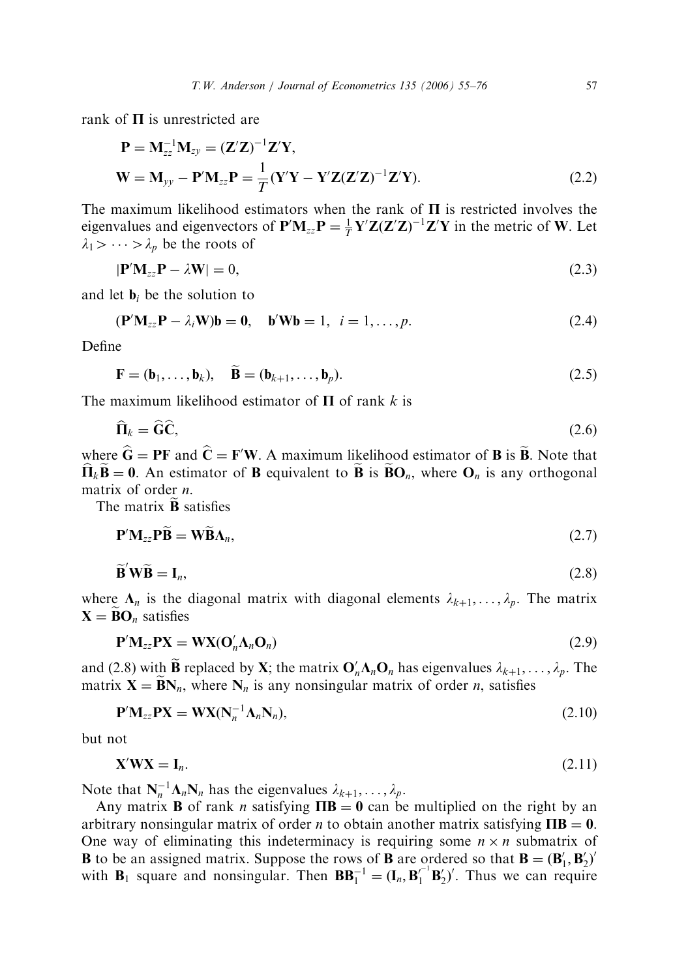rank of  $\Pi$  is unrestricted are

$$
\mathbf{P} = \mathbf{M}_{zz}^{-1} \mathbf{M}_{zy} = (\mathbf{Z}'\mathbf{Z})^{-1} \mathbf{Z}' \mathbf{Y},
$$
  
\n
$$
\mathbf{W} = \mathbf{M}_{yy} - \mathbf{P}' \mathbf{M}_{zz} \mathbf{P} = \frac{1}{T} (\mathbf{Y}'\mathbf{Y} - \mathbf{Y}'\mathbf{Z}(\mathbf{Z}'\mathbf{Z})^{-1} \mathbf{Z}' \mathbf{Y}).
$$
\n(2.2)

The maximum likelihood estimators when the rank of  $\Pi$  is restricted involves the eigenvalues and eigenvectors of  $P'M_{zz}P = \frac{1}{T}Y'Z(Z'Z)^{-1}Z'Y$  in the metric of W. Let  $\lambda_1$  >  $\cdots$  >  $\lambda_p$  be the roots of

$$
|\mathbf{P}'\mathbf{M}_{zz}\mathbf{P} - \lambda\mathbf{W}| = 0,\tag{2.3}
$$

and let  $\mathbf{b}_i$  be the solution to

$$
(\mathbf{P}'\mathbf{M}_{zz}\mathbf{P} - \lambda_i \mathbf{W})\mathbf{b} = \mathbf{0}, \quad \mathbf{b}'\mathbf{W}\mathbf{b} = 1, \quad i = 1, \dots, p. \tag{2.4}
$$

Define

$$
\mathbf{F} = (\mathbf{b}_1, \dots, \mathbf{b}_k), \quad \mathbf{B} = (\mathbf{b}_{k+1}, \dots, \mathbf{b}_p). \tag{2.5}
$$

The maximum likelihood estimator of  $\Pi$  of rank k is

$$
\widehat{\mathbf{\Pi}}_k = \widehat{\mathbf{G}} \widehat{\mathbf{C}},\tag{2.6}
$$

where  $\hat{G} = PF$  and  $\hat{C} = F'W$ . A maximum likelihood estimator of **B** is  $\hat{B}$ . Note that  $\widehat{\Pi}_k \widetilde{\mathbf{B}} = \mathbf{0}$ . An estimator of **B** equivalent to  $\widetilde{\mathbf{B}}$  is  $\widetilde{\mathbf{B}}\mathbf{O}_n$ , where  $\mathbf{O}_n$  is any orthogonal matrix of order *n*.

The matrix  $\tilde{\mathbf{B}}$  satisfies  $\sim$ 

 $\sim$ 

$$
\mathbf{P}'\mathbf{M}_{zz}\mathbf{P}\widetilde{\mathbf{B}} = \mathbf{W}\widetilde{\mathbf{B}}\Lambda_n, \tag{2.7}
$$

$$
\widetilde{\mathbf{B}}'\mathbf{W}\widetilde{\mathbf{B}} = \mathbf{I}_n,\tag{2.8}
$$

where  $\Lambda_n$  is the diagonal matrix with diagonal elements  $\lambda_{k+1}, \ldots, \lambda_n$ . The matrix  $X = \widetilde{B}O_n$  satisfies

$$
\mathbf{P}'\mathbf{M}_{zz}\mathbf{PX} = \mathbf{WX}(\mathbf{O}'_n\mathbf{\Lambda}_n\mathbf{O}_n)
$$
\n(2.9)

and (2.8) with  $\widetilde{B}$  replaced by X; the matrix  $O'_n \Lambda_n O_n$  has eigenvalues  $\lambda_{k+1}, \ldots, \lambda_p$ . The matrix  $X = BN_n$ , where  $N_n$  is any nonsingular matrix of order *n*, satisfies

$$
\mathbf{P}'\mathbf{M}_{zz}\mathbf{P}\mathbf{X} = \mathbf{W}\mathbf{X}(\mathbf{N}_n^{-1}\Lambda_n\mathbf{N}_n),\tag{2.10}
$$

but not

$$
\mathbf{X}'\mathbf{W}\mathbf{X} = \mathbf{I}_n. \tag{2.11}
$$

Note that  $N_n^{-1} \Lambda_n N_n$  has the eigenvalues  $\lambda_{k+1}, \ldots, \lambda_p$ .

Any matrix **B** of rank *n* satisfying  $\mathbf{TB} = \mathbf{0}$  can be multiplied on the right by an arbitrary nonsingular matrix of order *n* to obtain another matrix satisfying  $\Pi \mathbf{B} = \mathbf{0}$ . One way of eliminating this indeterminacy is requiring some  $n \times n$  submatrix of **B** to be an assigned matrix. Suppose the rows of **B** are ordered so that **B** =  $(\mathbf{B}'_1, \mathbf{B}'_2)'$ with **B**<sub>1</sub> square and nonsingular. Then  $BB_1^{-1} = (\mathbf{I}_n, \mathbf{B}_1^{-1} \mathbf{B}_2')'$ . Thus we can require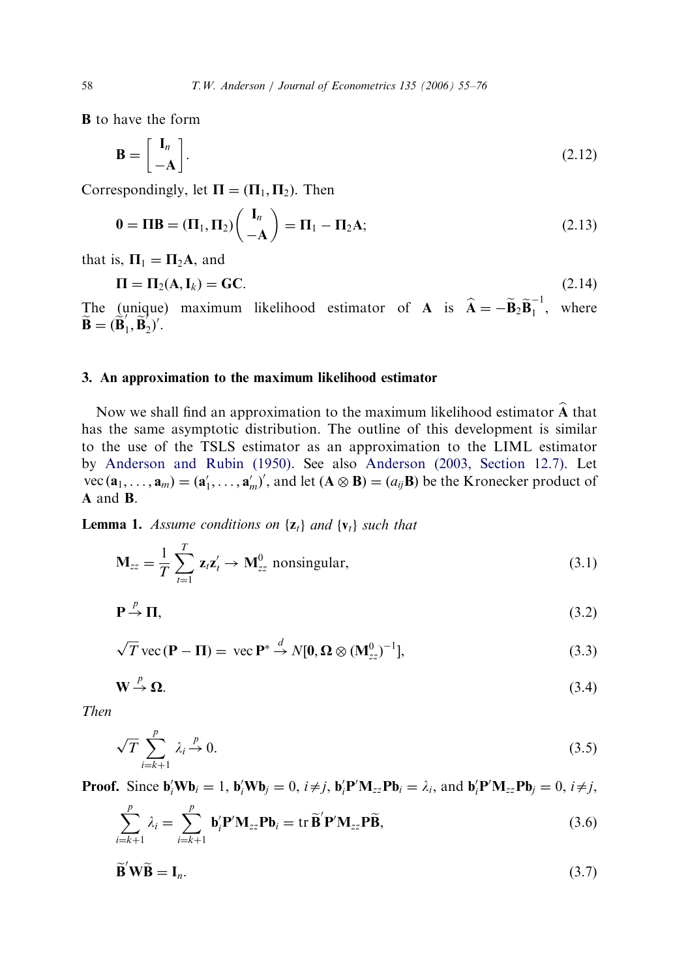B to have the form

$$
\mathbf{B} = \begin{bmatrix} \mathbf{I}_n \\ -\mathbf{A} \end{bmatrix} .
$$
 (2.12)

Correspondingly, let  $\Pi = (\Pi_1, \Pi_2)$ . Then

$$
\mathbf{0} = \mathbf{\Pi} \mathbf{B} = (\mathbf{\Pi}_1, \mathbf{\Pi}_2) \begin{pmatrix} \mathbf{I}_n \\ -\mathbf{A} \end{pmatrix} = \mathbf{\Pi}_1 - \mathbf{\Pi}_2 \mathbf{A};
$$
\n(2.13)

that is,  $\Pi_1 = \Pi_2 A$ , and

$$
\Pi = \Pi_2(A, I_k) = GC.
$$
\n(2.14)

The (unique) maximum likelihood estimator of **A** is  $\hat{\mathbf{A}} = -\tilde{\mathbf{B}}_2 \tilde{\mathbf{B}}_1^{-1}$ , where  $\widetilde{\mathbf{B}} = (\widetilde{\mathbf{B}}_1', \widetilde{\mathbf{B}}_2')'.$ 

## 3. An approximation to the maximum likelihood estimator

Now we shall find an approximation to the maximum likelihood estimator  $\widehat{A}$  that has the same asymptotic distribution. The outline of this development is similar to the use of the TSLS estimator as an approximation to the LIML estimator by [Anderson and Rubin \(1950\)](#page-21-0). See also [Anderson \(2003, Section 12.7\)](#page-21-0). Let vec  $(\mathbf{a}_1, \dots, \mathbf{a}_m) = (\mathbf{a}'_1, \dots, \mathbf{a}'_m)'$ , and let  $(\mathbf{A} \otimes \mathbf{B}) = (a_{ij} \mathbf{B})$  be the Kronecker product of A and B.

**Lemma 1.** Assume conditions on  $\{z_t\}$  and  $\{v_t\}$  such that

$$
\mathbf{M}_{zz} = \frac{1}{T} \sum_{t=1}^{T} \mathbf{z}_t \mathbf{z}_t' \to \mathbf{M}_{zz}^0 \text{ nonsingular}, \qquad (3.1)
$$

$$
\mathbf{P} \stackrel{p}{\to} \mathbf{\Pi},\tag{3.2}
$$

$$
\sqrt{T} \text{ vec}(\mathbf{P} - \mathbf{\Pi}) = \text{ vec} \mathbf{P}^* \stackrel{d}{\rightarrow} N[\mathbf{0}, \mathbf{\Omega} \otimes (\mathbf{M}_{zz}^0)^{-1}], \tag{3.3}
$$

$$
\mathbf{W} \stackrel{p}{\to} \mathbf{\Omega}.\tag{3.4}
$$

Then

$$
\sqrt{T} \sum_{i=k+1}^{p} \lambda_i \xrightarrow{p} 0. \tag{3.5}
$$

**Proof.** Since  $\mathbf{b}_i' \mathbf{W} \mathbf{b}_i = 1$ ,  $\mathbf{b}_i' \mathbf{W} \mathbf{b}_j = 0$ ,  $i \neq j$ ,  $\mathbf{b}_i' \mathbf{P}' \mathbf{M}_{zz} \mathbf{P} \mathbf{b}_i = \lambda_i$ , and  $\mathbf{b}_i' \mathbf{P}' \mathbf{M}_{zz} \mathbf{P} \mathbf{b}_j = 0$ ,  $i \neq j$ ,

$$
\sum_{i=k+1}^{p} \lambda_i = \sum_{i=k+1}^{p} \mathbf{b}'_i \mathbf{P}' \mathbf{M}_{zz} \mathbf{P} \mathbf{b}_i = \text{tr } \widetilde{\mathbf{B}}' \mathbf{P}' \mathbf{M}_{zz} \mathbf{P} \widetilde{\mathbf{B}},
$$
\n(3.6)

$$
\widetilde{\mathbf{B}}'\mathbf{W}\widetilde{\mathbf{B}} = \mathbf{I}_n. \tag{3.7}
$$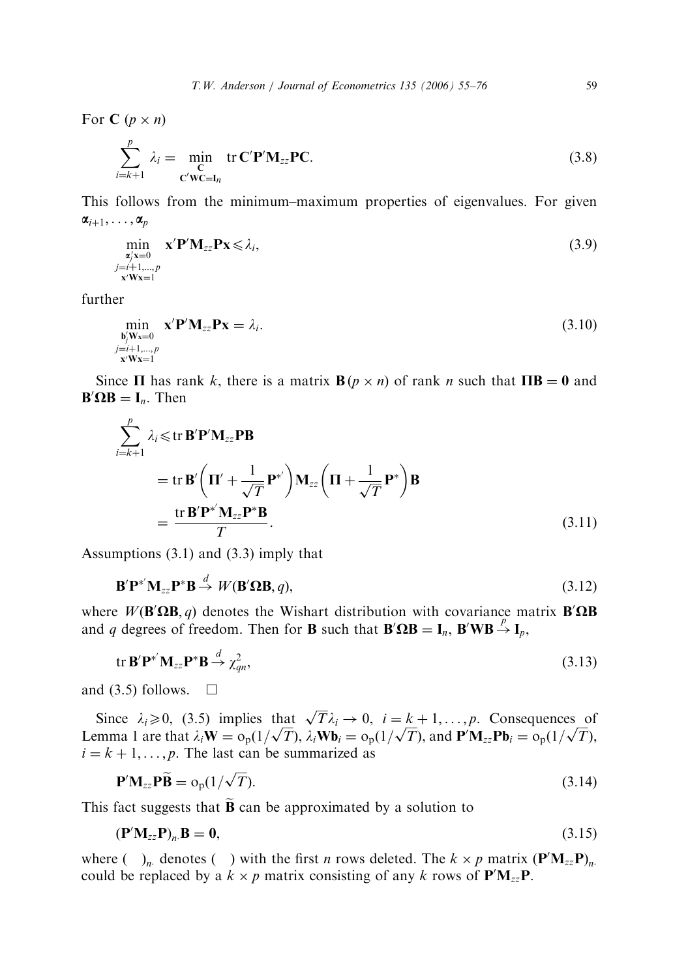For  $C$   $(p \times n)$ 

$$
\sum_{i=k+1}^{p} \lambda_i = \min_{\mathbf{C}'\mathbf{W}\mathbf{C}=\mathbf{I}_n} \text{tr } \mathbf{C}'\mathbf{P}'\mathbf{M}_{zz}\mathbf{P}\mathbf{C}.
$$
 (3.8)

This follows from the minimum–maximum properties of eigenvalues. For given  $\alpha_{i+1}, \ldots, \alpha_p$ 

$$
\min_{\substack{\mathbf{a}'_j \mathbf{x} = 0 \\ \mathbf{a}^j = i+1, \dots, p \\ \mathbf{x}'\mathbf{W}\mathbf{x} = 1}} \mathbf{x}' \mathbf{P}' \mathbf{M}_{zz} \mathbf{P} \mathbf{x} \le \lambda_i,
$$
\n(3.9)

further

$$
\min_{\substack{\mathbf{b}'_j \mathbf{W} \mathbf{x} = 0 \\ j = i+1,\dots,p \\ \mathbf{x}'\mathbf{W} \mathbf{x} = 1}} \mathbf{x}' \mathbf{P}' \mathbf{M}_{zz} \mathbf{P} \mathbf{x} = \lambda_i.
$$
\n(3.10)

Since  $\Pi$  has rank k, there is a matrix  $\mathbf{B}(p \times n)$  of rank n such that  $\Pi \mathbf{B} = 0$  and  $\mathbf{B}'\mathbf{\Omega}\mathbf{B} = \mathbf{I}_n$ . Then

$$
\sum_{i=k+1}^{p} \lambda_i \leq \text{tr } \mathbf{B}' \mathbf{P}' \mathbf{M}_{zz} \mathbf{P} \mathbf{B}
$$
\n
$$
= \text{tr } \mathbf{B}' \left( \mathbf{\Pi}' + \frac{1}{\sqrt{T}} \mathbf{P}^{*'} \right) \mathbf{M}_{zz} \left( \mathbf{\Pi} + \frac{1}{\sqrt{T}} \mathbf{P}^{*} \right) \mathbf{B}
$$
\n
$$
= \frac{\text{tr } \mathbf{B}' \mathbf{P}^{*'} \mathbf{M}_{zz} \mathbf{P}^{*} \mathbf{B}}{T}.
$$
\n(3.11)

Assumptions (3.1) and (3.3) imply that

$$
\mathbf{B}'\mathbf{P}^*'\mathbf{M}_{zz}\mathbf{P}^*\mathbf{B} \stackrel{d}{\rightarrow} W(\mathbf{B}'\Omega\mathbf{B},q),\tag{3.12}
$$

where  $W(\mathbf{B}'\Omega\mathbf{B}, q)$  denotes the Wishart distribution with covariance matrix  $\mathbf{B}'\Omega\mathbf{B}$ and q degrees of freedom. Then for **B** such that  $B' \Omega B = I_n$ ,  $B'WB \rightarrow I_p$ ,

$$
\text{tr }\mathbf{B}'\mathbf{P}^*'\mathbf{M}_{zz}\mathbf{P}^*\mathbf{B} \stackrel{d}{\rightarrow} \chi^2_{qn},\tag{3.13}
$$

and (3.5) follows.  $\Box$ 

Since  $\lambda_i \geq 0$ , (3.5) implies that  $\sqrt{T} \lambda_i \to 0$ ,  $i = k + 1, ..., p$ . Consequences of Since  $\lambda_i \ge 0$ , (3.3) implies that  $\sqrt{I} \lambda_i \rightarrow 0$ ,  $I = k + 1, ..., p$ . Consequences of Lemma 1 are that  $\lambda_i \mathbf{W} = o_p(1/\sqrt{T})$ ,  $\lambda_i \mathbf{W} \mathbf{b}_i = o_p(1/\sqrt{T})$ , and  $\mathbf{P}' \mathbf{M}_{zz} \mathbf{P} \mathbf{b}_i = o_p(1/\sqrt{T})$ ,  $i = k + 1, \ldots, p$ . The last can be summarized as

$$
\mathbf{P}'\mathbf{M}_{zz}\mathbf{P}\widetilde{\mathbf{B}} = o_p(1/\sqrt{T}).
$$
\n(3.14)

This fact suggests that  $\tilde{B}$  can be approximated by a solution to

$$
\left(\mathbf{P}'\mathbf{M}_{zz}\mathbf{P}\right)_n\mathbf{B} = \mathbf{0},\tag{3.15}
$$

where  $\left(\quad\right)_n$  denotes  $\left(\quad\right)$  with the first *n* rows deleted. The  $k \times p$  matrix  $\left(\mathbf{P}'\mathbf{M}_{zz}\mathbf{P}\right)_n$ . could be replaced by a  $k \times p$  matrix consisting of any k rows of  $\mathbf{P}'\mathbf{M}_{zz}\mathbf{P}$ .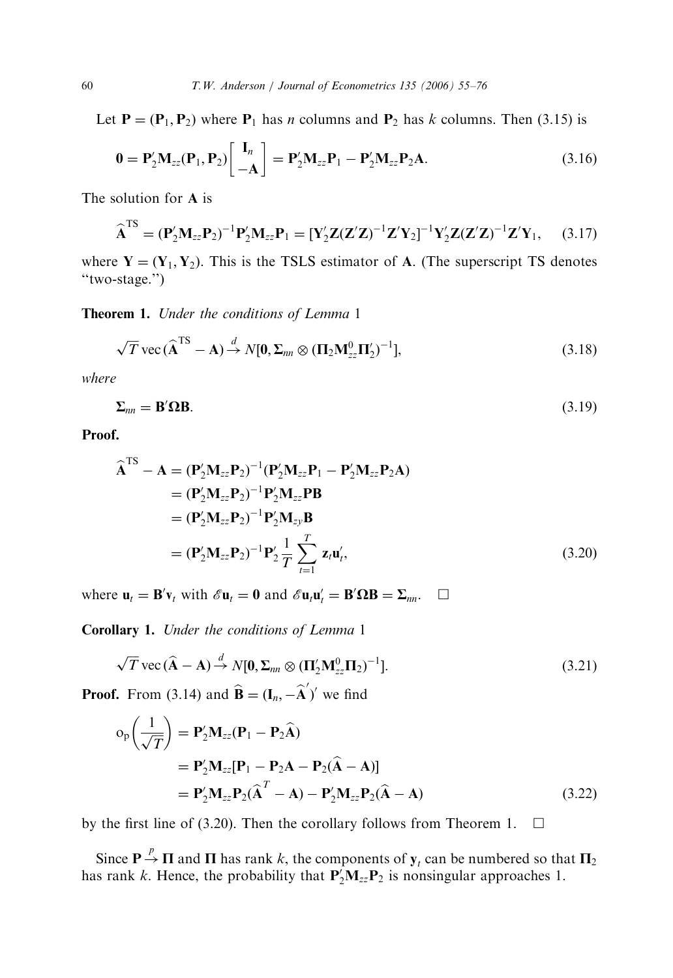Let  $P = (P_1, P_2)$  where  $P_1$  has *n* columns and  $P_2$  has *k* columns. Then (3.15) is

$$
\mathbf{0} = \mathbf{P}'_2 \mathbf{M}_{zz}(\mathbf{P}_1, \mathbf{P}_2) \begin{bmatrix} \mathbf{I}_n \\ -\mathbf{A} \end{bmatrix} = \mathbf{P}'_2 \mathbf{M}_{zz} \mathbf{P}_1 - \mathbf{P}'_2 \mathbf{M}_{zz} \mathbf{P}_2 \mathbf{A}.
$$
 (3.16)

The solution for A is

$$
\widehat{\mathbf{A}}^{\text{TS}} = (\mathbf{P}_2' \mathbf{M}_{zz} \mathbf{P}_2)^{-1} \mathbf{P}_2' \mathbf{M}_{zz} \mathbf{P}_1 = [\mathbf{Y}_2' \mathbf{Z} (\mathbf{Z}' \mathbf{Z})^{-1} \mathbf{Z}' \mathbf{Y}_2]^{-1} \mathbf{Y}_2' \mathbf{Z} (\mathbf{Z}' \mathbf{Z})^{-1} \mathbf{Z}' \mathbf{Y}_1, \quad (3.17)
$$

where  $Y = (Y_1, Y_2)$ . This is the TSLS estimator of A. (The superscript TS denotes "two-stage.")

Theorem 1. Under the conditions of Lemma 1

$$
\sqrt{T}\,\mathrm{vec}\,(\widehat{\mathbf{A}}^{\mathrm{TS}}-\mathbf{A}) \stackrel{d}{\rightarrow} N[\mathbf{0},\boldsymbol{\Sigma}_{nn}\otimes(\mathbf{\Pi}_{2}\mathbf{M}_{zz}^{0}\mathbf{\Pi}_{2}')^{-1}],\tag{3.18}
$$

where

$$
\Sigma_{nn} = \mathbf{B}' \mathbf{\Omega} \mathbf{B}.\tag{3.19}
$$

Proof.

$$
\hat{\mathbf{A}}^{TS} - \mathbf{A} = (\mathbf{P}'_2 \mathbf{M}_{zz} \mathbf{P}_2)^{-1} (\mathbf{P}'_2 \mathbf{M}_{zz} \mathbf{P}_1 - \mathbf{P}'_2 \mathbf{M}_{zz} \mathbf{P}_2 \mathbf{A}) \n= (\mathbf{P}'_2 \mathbf{M}_{zz} \mathbf{P}_2)^{-1} \mathbf{P}'_2 \mathbf{M}_{zz} \mathbf{P} \mathbf{B} \n= (\mathbf{P}'_2 \mathbf{M}_{zz} \mathbf{P}_2)^{-1} \mathbf{P}'_2 \mathbf{M}_{zy} \mathbf{B} \n= (\mathbf{P}'_2 \mathbf{M}_{zz} \mathbf{P}_2)^{-1} \mathbf{P}'_2 \frac{1}{T} \sum_{t=1}^{T} \mathbf{z}_t \mathbf{u}'_t,
$$
\n(3.20)

where  $\mathbf{u}_t = \mathbf{B}' \mathbf{v}_t$  with  $\mathscr{E} \mathbf{u}_t = \mathbf{0}$  and  $\mathscr{E} \mathbf{u}_t \mathbf{u}'_t = \mathbf{B}' \mathbf{\Omega} \mathbf{B} = \mathbf{\Sigma}_{nn}$ .  $\Box$ 

Corollary 1. Under the conditions of Lemma 1

$$
\sqrt{T}\,\mathrm{vec}\,(\widehat{\mathbf{A}}-\mathbf{A}) \stackrel{d}{\rightarrow} N[\mathbf{0}, \Sigma_{nn} \otimes (\mathbf{\Pi}'_2 \mathbf{M}_{zz}^0 \mathbf{\Pi}_2)^{-1}].\tag{3.21}
$$

**Proof.** From (3.14) and  $\hat{\mathbf{B}} = (\mathbf{I}_n, -\hat{\mathbf{A}}')'$  we find

$$
o_p\left(\frac{1}{\sqrt{T}}\right) = P'_2 M_{zz} (P_1 - P_2 \widehat{A})
$$
  
=  $P'_2 M_{zz} [P_1 - P_2 A - P_2 (\widehat{A} - A)]$   
=  $P'_2 M_{zz} P_2 (\widehat{A}^T - A) - P'_2 M_{zz} P_2 (\widehat{A} - A)$  (3.22)

by the first line of (3.20). Then the corollary follows from Theorem 1.  $\Box$ 

Since  $P \stackrel{p}{\rightarrow} \Pi$  and  $\Pi$  has rank k, the components of  $y_t$  can be numbered so that  $\Pi_2$ has rank k. Hence, the probability that  $P'_2M_{zz}P_2$  is nonsingular approaches 1.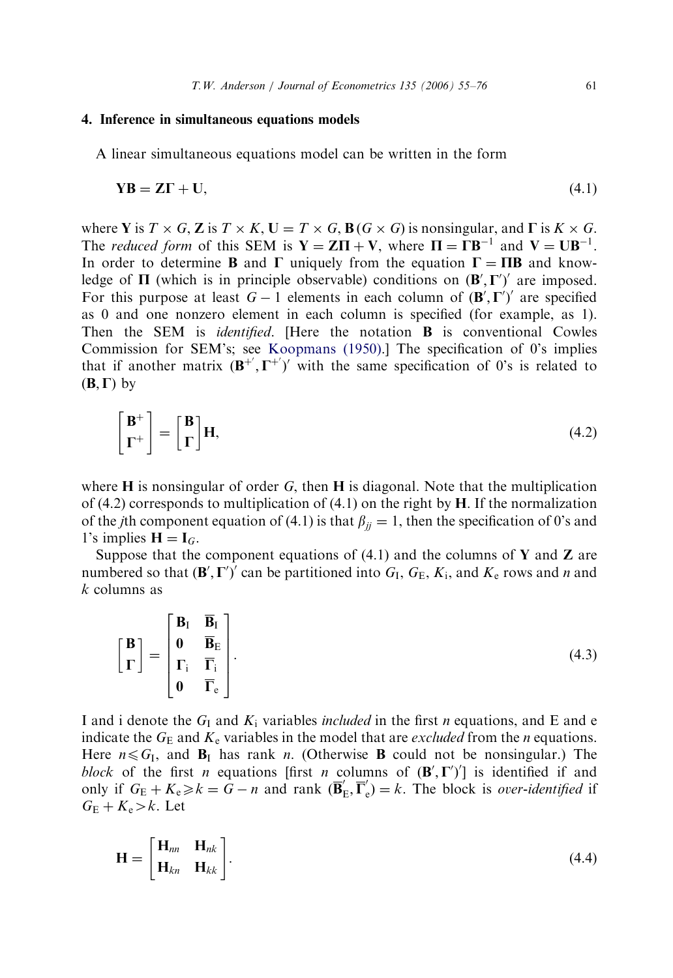## 4. Inference in simultaneous equations models

A linear simultaneous equations model can be written in the form

$$
YB = Z\Gamma + U,\tag{4.1}
$$

where Y is  $T \times G$ , Z is  $T \times K$ ,  $U = T \times G$ ,  $B(G \times G)$  is nonsingular, and  $\Gamma$  is  $K \times G$ . The *reduced form* of this SEM is  $Y = Z\Pi + V$ , where  $\Pi = \Gamma B^{-1}$  and  $V = U B^{-1}$ . In order to determine **B** and  $\Gamma$  uniquely from the equation  $\Gamma = \Pi B$  and knowledge of  $\Pi$  (which is in principle observable) conditions on  $(\mathbf{B}', \mathbf{\Gamma}')'$  are imposed. For this purpose at least  $G - 1$  elements in each column of  $(\mathbf{B}', \mathbf{\Gamma}')'$  are specified as 0 and one nonzero element in each column is specified (for example, as 1). Then the SEM is *identified*. [Here the notation **B** is conventional Cowles Commission for SEM's; see [Koopmans \(1950\)](#page-21-0).] The specification of 0's implies that if another matrix  $(B^{+}, \Gamma^{+})'$  with the same specification of 0's is related to  $(B, \Gamma)$  by

$$
\begin{bmatrix} \mathbf{B}^+ \\ \Gamma^+ \end{bmatrix} = \begin{bmatrix} \mathbf{B} \\ \Gamma \end{bmatrix} \mathbf{H},\tag{4.2}
$$

where  $H$  is nonsingular of order G, then  $H$  is diagonal. Note that the multiplication of (4.2) corresponds to multiplication of (4.1) on the right by  $H$ . If the normalization of the *j*th component equation of (4.1) is that  $\beta_{ij} = 1$ , then the specification of 0's and 1's implies  $H = I_G$ .

Suppose that the component equations of  $(4.1)$  and the columns of Y and Z are numbered so that  $(\mathbf{B}', \mathbf{\Gamma}')'$  can be partitioned into  $G_I$ ,  $G_E$ ,  $K_i$ , and  $K_e$  rows and n and k columns as

$$
\begin{bmatrix} \mathbf{B} \\ \boldsymbol{\Gamma} \end{bmatrix} = \begin{bmatrix} \mathbf{B}_{\mathrm{I}} & \overline{\mathbf{B}}_{\mathrm{I}} \\ \mathbf{0} & \overline{\mathbf{B}}_{\mathrm{E}} \\ \mathbf{0} & \overline{\mathbf{\Gamma}}_{\mathrm{e}} \end{bmatrix} .
$$
(4.3)

I and i denote the  $G<sub>I</sub>$  and  $K<sub>i</sub>$  variables *included* in the first *n* equations, and E and e indicate the  $G_E$  and  $K_e$  variables in the model that are *excluded* from the *n* equations. Here  $n \le G_I$ , and  $B_I$  has rank n. (Otherwise **B** could not be nonsingular.) The block of the first *n* equations [first *n* columns of  $(\mathbf{B}', \mathbf{\Gamma}')'$ ] is identified if and only if  $G_E + K_e \ge k = \overline{G} - n$  and rank  $(\overline{B}'_E, \overline{\Gamma}'_e) = k$ . The block is *over-identified* if  $G_{\rm E} + K_{\rm e} > k$ . Let

$$
\mathbf{H} = \begin{bmatrix} \mathbf{H}_{nn} & \mathbf{H}_{nk} \\ \mathbf{H}_{kn} & \mathbf{H}_{kk} \end{bmatrix} .
$$
 (4.4)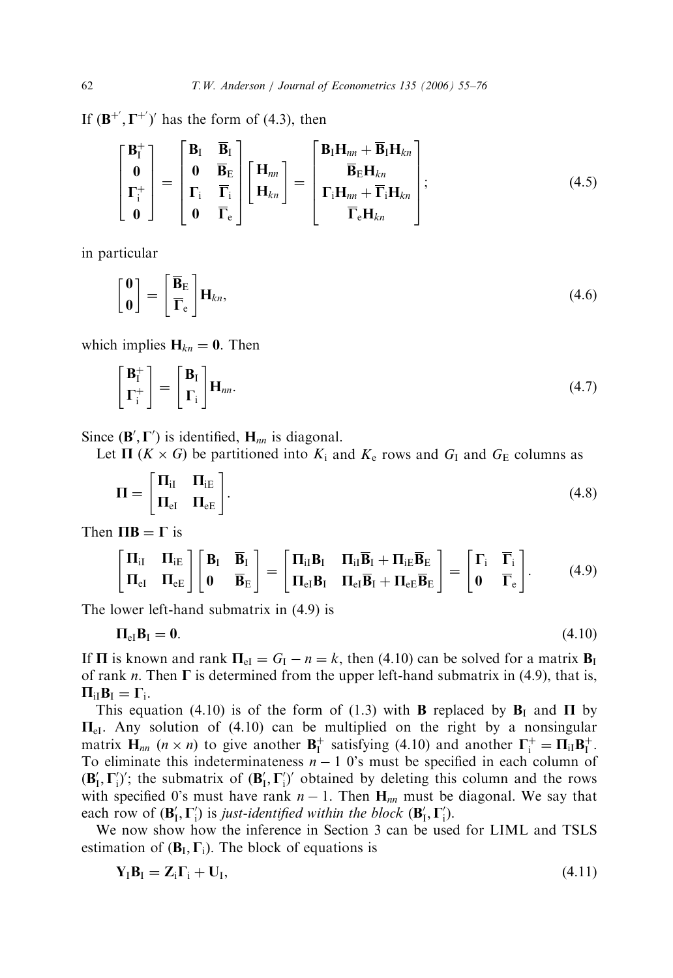If  $(\mathbf{B}^{+}, \Gamma^{+})'$  has the form of (4.3), then

$$
\begin{bmatrix} \mathbf{B}_{\mathrm{I}}^{+} \\ \mathbf{0} \\ \mathbf{\Gamma}_{\mathrm{i}}^{+} \\ \mathbf{0} \end{bmatrix} = \begin{bmatrix} \mathbf{B}_{\mathrm{I}} & \overline{\mathbf{B}}_{\mathrm{I}} \\ \mathbf{0} & \overline{\mathbf{B}}_{\mathrm{E}} \\ \mathbf{\Gamma}_{\mathrm{i}} & \overline{\mathbf{\Gamma}}_{\mathrm{i}} \\ \mathbf{0} & \overline{\mathbf{\Gamma}}_{\mathrm{e}} \end{bmatrix} \begin{bmatrix} \mathbf{H}_{nn} \\ \mathbf{H}_{kn} \end{bmatrix} = \begin{bmatrix} \mathbf{B}_{\mathrm{I}} \mathbf{H}_{nn} + \overline{\mathbf{B}}_{\mathrm{I}} \mathbf{H}_{kn} \\ \overline{\mathbf{B}}_{\mathrm{E}} \mathbf{H}_{kn} \\ \mathbf{\Gamma}_{\mathrm{i}} \mathbf{H}_{nn} + \overline{\mathbf{\Gamma}}_{\mathrm{i}} \mathbf{H}_{kn} \end{bmatrix};
$$
(4.5)

in particular

$$
\begin{bmatrix} \mathbf{0} \\ \mathbf{0} \end{bmatrix} = \begin{bmatrix} \overline{\mathbf{B}}_{\mathrm{E}} \\ \overline{\mathbf{\Gamma}}_{\mathrm{e}} \end{bmatrix} \mathbf{H}_{kn},\tag{4.6}
$$

which implies  $H_{kn} = 0$ . Then

$$
\begin{bmatrix} \mathbf{B}_{\mathrm{I}}^{+} \\ \mathbf{\Gamma}_{\mathrm{i}}^{+} \end{bmatrix} = \begin{bmatrix} \mathbf{B}_{\mathrm{I}} \\ \mathbf{\Gamma}_{\mathrm{i}} \end{bmatrix} \mathbf{H}_{nn}.
$$
\n(4.7)

Since  $(\mathbf{B}', \Gamma')$  is identified,  $\mathbf{H}_{nn}$  is diagonal.

Let  $\Pi$  ( $K \times G$ ) be partitioned into  $K_i$  and  $K_e$  rows and  $G_I$  and  $G_E$  columns as

$$
\Pi = \begin{bmatrix} \Pi_{\text{if}} & \Pi_{\text{iE}} \\ \Pi_{\text{eI}} & \Pi_{\text{eE}} \end{bmatrix} . \tag{4.8}
$$

Then  $\Pi$ **B** =  $\Gamma$  is

$$
\begin{bmatrix} \Pi_{iI} & \Pi_{iE} \\ \Pi_{eI} & \Pi_{eE} \end{bmatrix} \begin{bmatrix} \mathbf{B}_{I} & \overline{\mathbf{B}}_{I} \\ \mathbf{0} & \overline{\mathbf{B}}_{E} \end{bmatrix} = \begin{bmatrix} \Pi_{iI}\mathbf{B}_{I} & \Pi_{iI}\overline{\mathbf{B}}_{I} + \Pi_{iE}\overline{\mathbf{B}}_{E} \\ \Pi_{eI}\mathbf{B}_{I} & \Pi_{eI}\overline{\mathbf{B}}_{I} + \Pi_{eE}\overline{\mathbf{B}}_{E} \end{bmatrix} = \begin{bmatrix} \Gamma_{i} & \overline{\Gamma}_{i} \\ \mathbf{0} & \overline{\Gamma}_{e} \end{bmatrix}.
$$
 (4.9)

The lower left-hand submatrix in (4.9) is

$$
\Pi_{\rm el} \mathbf{B}_{\rm I} = \mathbf{0}.\tag{4.10}
$$

If  $\Pi$  is known and rank  $\Pi_{el} = G_I - n = k$ , then (4.10) can be solved for a matrix  $B_I$ of rank *n*. Then  $\Gamma$  is determined from the upper left-hand submatrix in (4.9), that is,  $\Pi_{iI}B_{I}=\Gamma_{i}.$ 

This equation (4.10) is of the form of (1.3) with **B** replaced by  $\mathbf{B}_{\text{I}}$  and  $\Pi$  by  $\Pi_{el}$ . Any solution of (4.10) can be multiplied on the right by a nonsingular matrix  $H_{nn}$   $(n \times n)$  to give another  $B_I^+$  satisfying (4.10) and another  $\Gamma_i^+ = \Pi_{iI}B_I^+$ . To eliminate this indeterminateness  $n - 1$  0's must be specified in each column of  $(\mathbf{B}'_1, \Gamma'_1)'$ ; the submatrix of  $(\mathbf{B}'_1, \Gamma'_1)'$  obtained by deleting this column and the rows with specified 0's must have rank  $n-1$ . Then  $H_{nn}$  must be diagonal. We say that each row of  $(\mathbf{B}'_I, \mathbf{\Gamma}'_i)$  is just-identified within the block  $(\mathbf{B}'_I, \mathbf{\Gamma}'_i)$ .

We now show how the inference in Section 3 can be used for LIML and TSLS estimation of  $(B_I, \Gamma_i)$ . The block of equations is

$$
\mathbf{Y}_1 \mathbf{B}_1 = \mathbf{Z}_i \Gamma_i + \mathbf{U}_1,\tag{4.11}
$$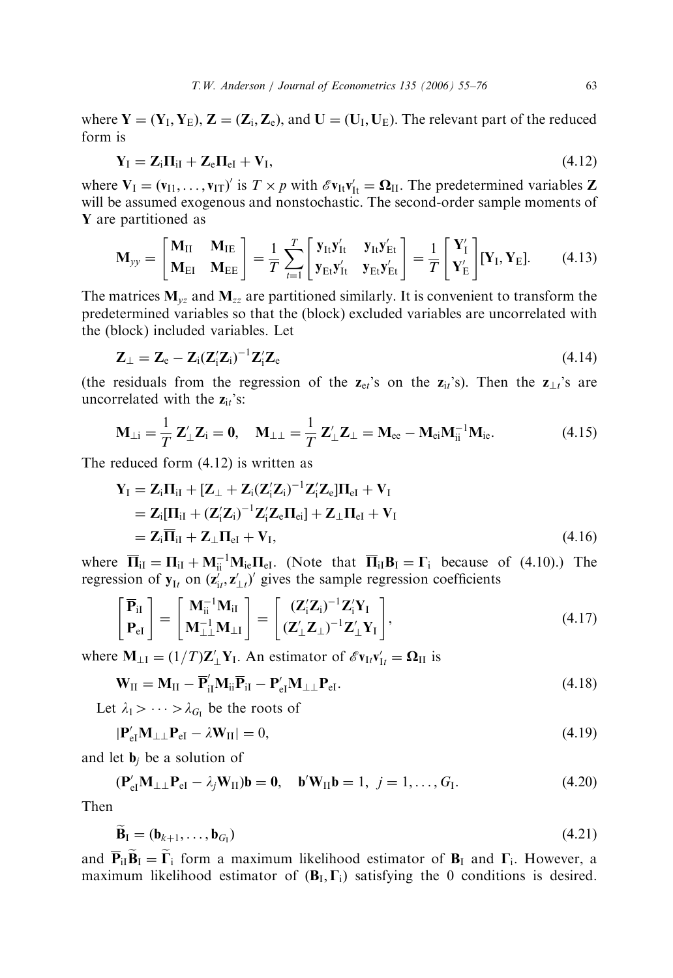where  $Y = (Y_I, Y_F), Z = (Z_i, Z_e)$ , and  $U = (U_I, U_F)$ . The relevant part of the reduced form is

$$
\mathbf{Y}_{\mathrm{I}} = \mathbf{Z}_{\mathrm{i}} \mathbf{\Pi}_{\mathrm{i}\mathrm{I}} + \mathbf{Z}_{\mathrm{e}} \mathbf{\Pi}_{\mathrm{e}\mathrm{I}} + \mathbf{V}_{\mathrm{I}},\tag{4.12}
$$

where  $V_I = (v_{I1}, \dots, v_{IT})'$  is  $T \times p$  with  $\mathscr{E}v_{It}v'_{It} = \Omega_{II}$ . The predetermined variables Z will be assumed exogenous and nonstochastic. The second-order sample moments of Y are partitioned as

$$
\mathbf{M}_{yy} = \begin{bmatrix} \mathbf{M}_{II} & \mathbf{M}_{IE} \\ \mathbf{M}_{EI} & \mathbf{M}_{EE} \end{bmatrix} = \frac{1}{T} \sum_{t=1}^{T} \begin{bmatrix} \mathbf{y}_{It} \mathbf{y}_{It}^{\prime} & \mathbf{y}_{It} \mathbf{y}_{Et}^{\prime} \\ \mathbf{y}_{Et} \mathbf{y}_{It}^{\prime} & \mathbf{y}_{Et} \mathbf{y}_{Et}^{\prime} \end{bmatrix} = \frac{1}{T} \begin{bmatrix} \mathbf{Y}_{I}^{\prime} \\ \mathbf{Y}_{E}^{\prime} \end{bmatrix} [\mathbf{Y}_{I}, \mathbf{Y}_{E}].
$$
 (4.13)

The matrices  $M_{yz}$  and  $M_{zz}$  are partitioned similarly. It is convenient to transform the predetermined variables so that the (block) excluded variables are uncorrelated with the (block) included variables. Let

$$
\mathbf{Z}_{\perp} = \mathbf{Z}_{e} - \mathbf{Z}_{i} (\mathbf{Z}_{i}^{\prime} \mathbf{Z}_{i})^{-1} \mathbf{Z}_{i}^{\prime} \mathbf{Z}_{e}
$$
\n(4.14)

(the residuals from the regression of the  $z_{\rm et}$ 's on the  $z_{\rm it}$ 's). Then the  $z_{\rm it}$ 's are uncorrelated with the  $z_{it}$ 's:

$$
\mathbf{M}_{\perp i} = \frac{1}{T} \mathbf{Z}_{\perp}^{\prime} \mathbf{Z}_{i} = \mathbf{0}, \quad \mathbf{M}_{\perp \perp} = \frac{1}{T} \mathbf{Z}_{\perp}^{\prime} \mathbf{Z}_{\perp} = \mathbf{M}_{ee} - \mathbf{M}_{ei} \mathbf{M}_{ii}^{-1} \mathbf{M}_{ie}.
$$
 (4.15)

The reduced form (4.12) is written as

$$
\mathbf{Y}_{\mathrm{I}} = \mathbf{Z}_{\mathrm{i}} \mathbf{\Pi}_{\mathrm{i}\mathrm{I}} + [\mathbf{Z}_{\perp} + \mathbf{Z}_{\mathrm{i}} (\mathbf{Z}_{\mathrm{i}}' \mathbf{Z}_{\mathrm{i}})^{-1} \mathbf{Z}_{\mathrm{i}}' \mathbf{Z}_{\mathrm{e}}] \mathbf{\Pi}_{\mathrm{e}\mathrm{I}} + \mathbf{V}_{\mathrm{I}} \n= \mathbf{Z}_{\mathrm{i}} [\mathbf{\Pi}_{\mathrm{i}\mathrm{I}} + (\mathbf{Z}_{\mathrm{i}}' \mathbf{Z}_{\mathrm{i}})^{-1} \mathbf{Z}_{\mathrm{i}}' \mathbf{Z}_{\mathrm{e}} \mathbf{\Pi}_{\mathrm{e}\mathrm{i}}] + \mathbf{Z}_{\perp} \mathbf{\Pi}_{\mathrm{e}\mathrm{I}} + \mathbf{V}_{\mathrm{I}} \n= \mathbf{Z}_{\mathrm{i}} \overline{\mathbf{\Pi}}_{\mathrm{i}\mathrm{I}} + \mathbf{Z}_{\perp} \mathbf{\Pi}_{\mathrm{e}\mathrm{I}} + \mathbf{V}_{\mathrm{I}},
$$
\n(4.16)

where  $\overline{\mathbf{H}}_{iI} = \mathbf{\Pi}_{iI} + \mathbf{M}_{ii}^{-1} \mathbf{M}_{ie} \mathbf{\Pi}_{eI}$ . (Note that  $\overline{\mathbf{H}}_{iI} \mathbf{B}_{I} = \mathbf{\Gamma}_{i}$  because of (4.10).) The regression of  $y_{It}$  on  $(\mathbf{z}_{i,t}^{\prime}, \mathbf{z}_{\perp t}^{\prime})^{\prime}$  gives the sample regression coefficients

$$
\begin{bmatrix} \overline{\mathbf{P}}_{iI} \\ \mathbf{P}_{eI} \end{bmatrix} = \begin{bmatrix} \mathbf{M}_{ii}^{-1} \mathbf{M}_{iI} \\ \mathbf{M}_{\perp\perp}^{-1} \mathbf{M}_{\perp I} \end{bmatrix} = \begin{bmatrix} (\mathbf{Z}_{i}'\mathbf{Z}_{i})^{-1} \mathbf{Z}_{i}' \mathbf{Y}_{I} \\ (\mathbf{Z}_{\perp}'\mathbf{Z}_{\perp})^{-1} \mathbf{Z}_{\perp}' \mathbf{Y}_{I} \end{bmatrix},
$$
\n(4.17)

where  $M_{\perp I} = (1/T) \mathbb{Z}'_{\perp} Y_I$ . An estimator of  $\mathscr{E}v_{It} v'_{It} = \mathbf{\Omega}_{II}$  is

$$
\mathbf{W}_{\text{II}} = \mathbf{M}_{\text{II}} - \overline{\mathbf{P}}_{\text{II}}' \mathbf{M}_{\text{ii}} \overline{\mathbf{P}}_{\text{II}} - \mathbf{P}_{\text{eI}}' \mathbf{M}_{\perp\perp} \mathbf{P}_{\text{eI}}.
$$
\n(4.18)

Let  $\lambda_1 > \cdots > \lambda_{G}$  be the roots of

$$
|\mathbf{P}_{\rm eI}^\prime \mathbf{M}_{\perp\perp} \mathbf{P}_{\rm eI} - \lambda \mathbf{W}_{\rm II}| = 0, \tag{4.19}
$$

and let  $\mathbf{b}_i$  be a solution of

$$
(\mathbf{P}_{\mathrm{el}}^{\prime}\mathbf{M}_{\perp\perp}\mathbf{P}_{\mathrm{el}}-\lambda_j\mathbf{W}_{\mathrm{II}})\mathbf{b}=\mathbf{0},\quad \mathbf{b}^{\prime}\mathbf{W}_{\mathrm{II}}\mathbf{b}=1,\ j=1,\ldots,G_{\mathrm{I}}.\tag{4.20}
$$

Then

$$
\mathbf{B}_{\mathrm{I}} = (\mathbf{b}_{k+1}, \dots, \mathbf{b}_{G_{\mathrm{I}}}) \tag{4.21}
$$

and  $\overline{P}_{iI}\tilde{B}_{I} = \tilde{\Gamma}_{i}$  form a maximum likelihood estimator of  $B_{I}$  and  $\Gamma_{i}$ . However, a maximum likelihood estimator of  $(B_I, \Gamma_i)$  satisfying the 0 conditions is desired.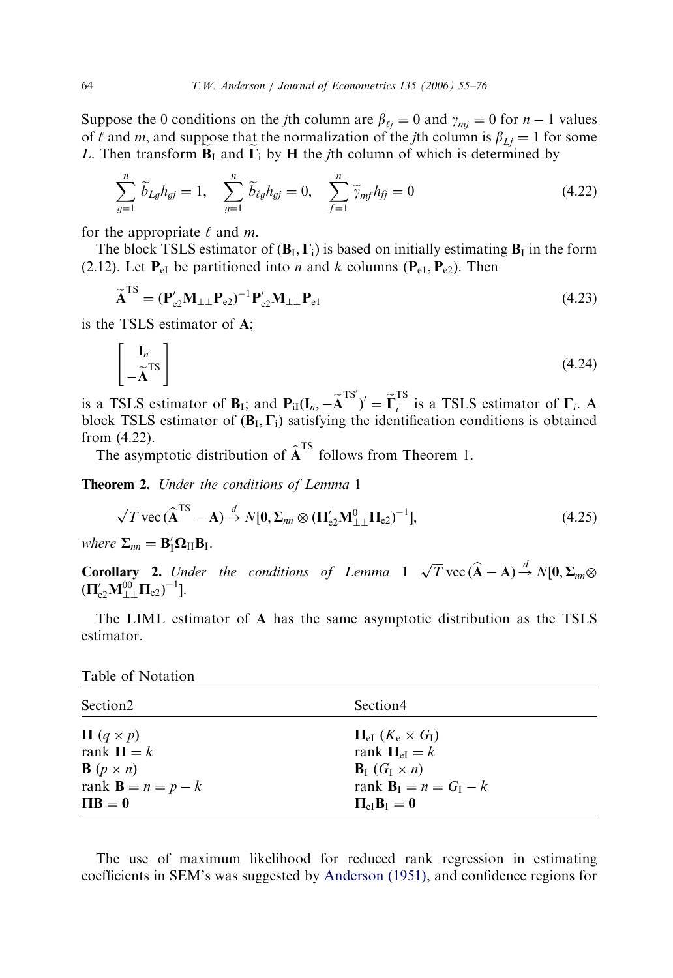Suppose the 0 conditions on the *j*th column are  $\beta_{\ell j} = 0$  and  $\gamma_{m j} = 0$  for  $n - 1$  values of  $\ell$  and m, and suppose that the normalization of the *i*th column is  $\beta_{Li} = 1$  for some L. Then transform  $\widetilde{B}_I$  and  $\widetilde{\Gamma}_i$  by H the *j*th column of which is determined by

$$
\sum_{g=1}^{n} \widetilde{b}_{Lg} h_{gj} = 1, \quad \sum_{g=1}^{n} \widetilde{b}_{\ell g} h_{gj} = 0, \quad \sum_{f=1}^{n} \widetilde{\gamma}_{mf} h_{fj} = 0 \tag{4.22}
$$

for the appropriate  $\ell$  and m.

The block TSLS estimator of  $(B_I, \Gamma_i)$  is based on initially estimating  $B_I$  in the form (2.12). Let  $P_{eI}$  be partitioned into *n* and *k* columns ( $P_{e1}$ ,  $P_{e2}$ ). Then

$$
\widetilde{\mathbf{A}}^{\text{TS}} = (\mathbf{P}_{e2}^{\prime} \mathbf{M}_{\perp \perp} \mathbf{P}_{e2})^{-1} \mathbf{P}_{e2}^{\prime} \mathbf{M}_{\perp \perp} \mathbf{P}_{e1} \tag{4.23}
$$

is the TSLS estimator of A;

$$
\begin{bmatrix} \mathbf{I}_n \\ -\widetilde{\mathbf{A}}^{\mathrm{TS}} \end{bmatrix} \tag{4.24}
$$

is a TSLS estimator of  $B_I$ ; and  $P_{iI}(I_n, -\widetilde{A}^{TS'})' = \widetilde{\Gamma}_i^{TS}$  is a TSLS estimator of  $\Gamma_i$ . A block TSLS estimator of  $(B_I, \Gamma_i)$  satisfying the identification conditions is obtained from (4.22).

The asymptotic distribution of  $\hat{A}^{TS}$  follows from Theorem 1.

Theorem 2. Under the conditions of Lemma 1

$$
\sqrt{T} \text{ vec} \left( \widehat{\mathbf{A}}^{\text{TS}} - \mathbf{A} \right) \stackrel{d}{\rightarrow} N[\mathbf{0}, \Sigma_{nn} \otimes (\mathbf{\Pi}_{e2}' \mathbf{M}_{\perp\perp}^0 \mathbf{\Pi}_{e2})^{-1}], \tag{4.25}
$$

where  $\Sigma_{nn} = \mathbf{B}_{\mathrm{I}}^{\prime} \mathbf{\Omega}_{\mathrm{II}} \mathbf{B}_{\mathrm{I}}$ .

**Corollary 2.** Under the conditions of Lemma  $1 \sqrt{T}$  vec  $(\widehat{A} - A) \stackrel{d}{\rightarrow} N[0, \Sigma_{nn} \otimes$  $(\mathbf{\Pi}_{\mathrm{e}2}'\mathbf{M}_{\perp\perp}^{00}\mathbf{\Pi}_{\mathrm{e}2})^{-1}$ ].

The LIML estimator of A has the same asymptotic distribution as the TSLS estimator.

Table of Notation

| Section <sub>2</sub>                   | Section4                                                             |
|----------------------------------------|----------------------------------------------------------------------|
| $\Pi$ $(q \times p)$<br>rank $\Pi = k$ | $\Pi_{\rm eI}$ $(K_{\rm e} \times G_{\rm I})$<br>rank $\Pi_{el} = k$ |
| <b>B</b> $(p \times n)$                | $\mathbf{B}_{\mathrm{I}}$ $(G_{\mathrm{I}} \times n)$                |
| rank $\mathbf{B} = n = p - k$          | rank $\mathbf{B}_{I} = n = G_{I} - k$                                |
| $\Pi B = 0$                            | $\Pi_{\rm eff}$ <b>B</b> <sub>I</sub> = 0                            |

The use of maximum likelihood for reduced rank regression in estimating coefficients in SEM's was suggested by [Anderson \(1951\),](#page-21-0) and confidence regions for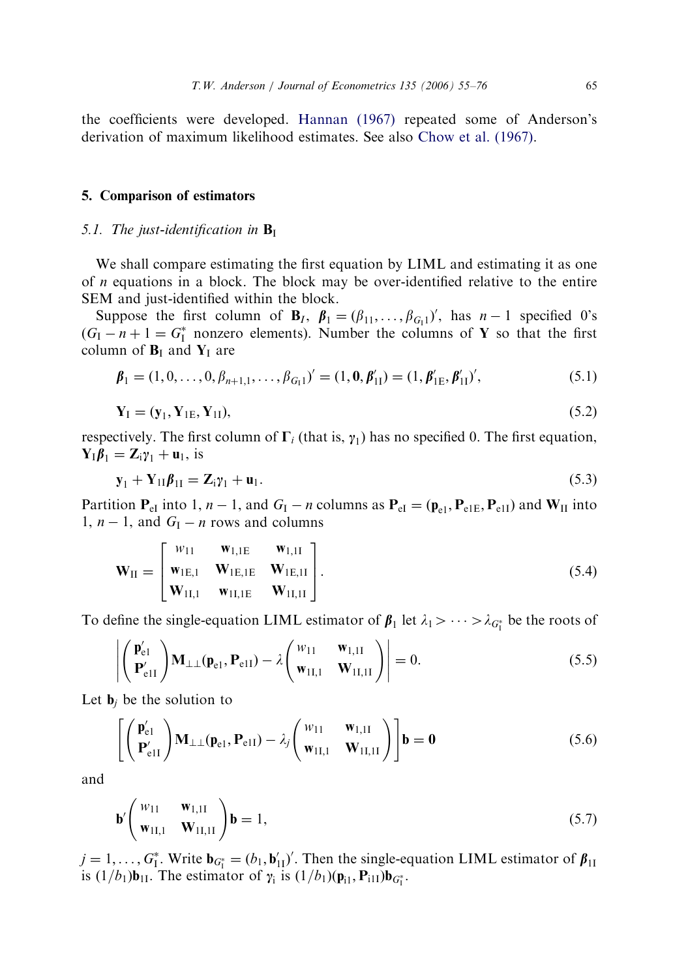the coefficients were developed. [Hannan \(1967\)](#page-21-0) repeated some of Anderson's derivation of maximum likelihood estimates. See also [Chow et al. \(1967\).](#page-21-0)

#### 5. Comparison of estimators

#### 5.1. The just-identification in  $\mathbf{B}_{\mathrm{I}}$

We shall compare estimating the first equation by LIML and estimating it as one of n equations in a block. The block may be over-identified relative to the entire SEM and just-identified within the block.

Suppose the first column of  $\mathbf{B}_I$ ,  $\boldsymbol{\beta}_1 = (\beta_{11}, \dots, \beta_{G_1})'$ , has  $n-1$  specified 0's  $(G_I - n + 1 = G_I^*$  nonzero elements). Number the columns of Y so that the first column of  $B_I$  and  $Y_I$  are

$$
\boldsymbol{\beta}_1 = (1, 0, \dots, 0, \beta_{n+1,1}, \dots, \beta_{G_1})' = (1, \mathbf{0}, \boldsymbol{\beta}'_{11}) = (1, \boldsymbol{\beta}'_{1E}, \boldsymbol{\beta}'_{11})',
$$
(5.1)

$$
\mathbf{Y}_{\mathrm{I}} = (\mathbf{y}_{1}, \mathbf{Y}_{1\mathrm{E}}, \mathbf{Y}_{1\mathrm{I}}),\tag{5.2}
$$

respectively. The first column of  $\Gamma_i$  (that is,  $\gamma_1$ ) has no specified 0. The first equation,  $Y_{I}\boldsymbol{\beta}_{1} = Z_{i}\gamma_{1} + u_{1}$ , is

$$
\mathbf{y}_1 + \mathbf{Y}_{1I}\boldsymbol{\beta}_{1I} = \mathbf{Z}_i\mathbf{y}_1 + \mathbf{u}_1. \tag{5.3}
$$

Partition  $P_{el}$  into 1,  $n-1$ , and  $G_I - n$  columns as  $P_{el} = (\mathbf{p}_{el}, P_{el} - \mathbf{p}_{elI})$  and  $W_{II}$  into 1,  $n-1$ , and  $G<sub>I</sub> - n$  rows and columns

$$
\mathbf{W}_{II} = \begin{bmatrix} w_{11} & \mathbf{w}_{1,I}E & \mathbf{w}_{1,II} \\ \mathbf{w}_{1E,1} & \mathbf{W}_{1E,1E} & \mathbf{W}_{1E,II} \\ \mathbf{W}_{1I,1} & \mathbf{w}_{1I,IE} & \mathbf{W}_{1I,II} \end{bmatrix}.
$$
 (5.4)

To define the single-equation LIML estimator of  $\beta_1$  let  $\lambda_1 > \cdots > \lambda_{G_1^*}$  be the roots of

$$
\left| \begin{pmatrix} \mathbf{p}'_{\mathrm{el}} \\ \mathbf{P}'_{\mathrm{ell}} \end{pmatrix} \mathbf{M}_{\perp \perp}(\mathbf{p}_{\mathrm{el}}, \mathbf{P}_{\mathrm{ell}}) - \lambda \begin{pmatrix} w_{11} & \mathbf{w}_{1,1I} \\ \mathbf{w}_{1I,1} & \mathbf{W}_{1I,1I} \end{pmatrix} \right| = 0.
$$
 (5.5)

Let  $\mathbf{b}_i$  be the solution to

$$
\left[ \begin{pmatrix} \mathbf{p}'_{\mathrm{el}} \\ \mathbf{P}'_{\mathrm{ell}} \end{pmatrix} \mathbf{M}_{\perp \perp} (\mathbf{p}_{\mathrm{el}}, \mathbf{P}_{\mathrm{ell}}) - \lambda_j \begin{pmatrix} w_{11} & \mathbf{w}_{1,1I} \\ \mathbf{w}_{1I,1} & \mathbf{W}_{1I,1I} \end{pmatrix} \right] \mathbf{b} = \mathbf{0}
$$
\n(5.6)

and

$$
\mathbf{b}' \begin{pmatrix} w_{11} & \mathbf{w}_{1,11} \\ \mathbf{w}_{11,1} & \mathbf{W}_{11,11} \end{pmatrix} \mathbf{b} = 1, \tag{5.7}
$$

 $j = 1, ..., G_1^*$ . Write  $\mathbf{b}_{G_1^*} = (b_1, \mathbf{b}'_{11})'$ . Then the single-equation LIML estimator of  $\beta_{11}$ is  $(1/b_1)\mathbf{b}_{1I}$ . The estimator of  $\gamma_i$  is  $(1/b_1)(\mathbf{p}_{i1}, \mathbf{P}_{i1I})\mathbf{b}_{G_I^*}$ .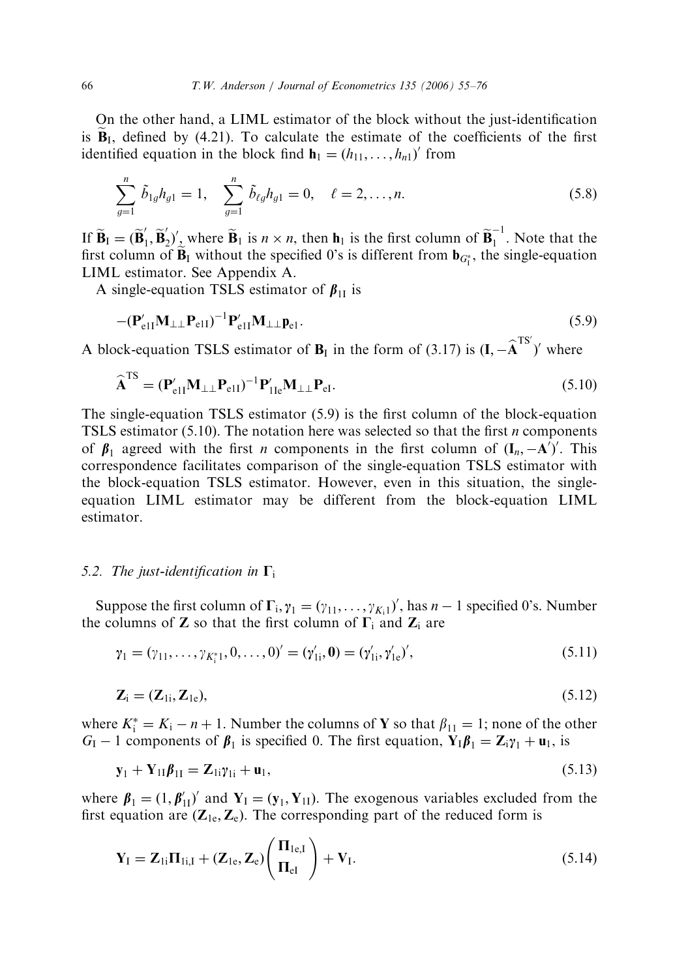On the other hand, a LIML estimator of the block without the just-identification is  $\mathbf{B}_1$ , defined by (4.21). To calculate the estimate of the coefficients of the first identified equation in the block find  $\mathbf{h}_1 = (h_{11}, \dots, h_{n1})'$  from

$$
\sum_{g=1}^{n} \tilde{b}_{1g} h_{g1} = 1, \quad \sum_{g=1}^{n} \tilde{b}_{\ell g} h_{g1} = 0, \quad \ell = 2, \dots, n.
$$
 (5.8)

If  $\widetilde{\mathbf{B}}_I = (\widetilde{\mathbf{B}}_1', \widetilde{\mathbf{B}}_2')'$ , where  $\widetilde{\mathbf{B}}_1$  is  $n \times n$ , then  $\mathbf{h}_1$  is the first column of  $\widetilde{\mathbf{B}}_1^{-1}$ . Note that the first column of  $\mathbf{B}_{\text{I}}$  without the specified 0's is different from  $\mathbf{b}_{G_{\text{I}}^*}$ , the single-equation LIML estimator. See Appendix A.

A single-equation TSLS estimator of  $\beta_{1I}$  is

$$
-(\mathbf{P}_{e1I}^{\prime}\mathbf{M}_{\perp\perp}\mathbf{P}_{e1I})^{-1}\mathbf{P}_{e1I}^{\prime}\mathbf{M}_{\perp\perp}\mathbf{p}_{e1}.
$$
\n(5.9)

A block-equation TSLS estimator of  $B_I$  in the form of (3.17) is  $(I, -\hat{A}^{TS'})'$  where

$$
\widehat{\mathbf{A}}^{\mathrm{TS}} = (\mathbf{P}_{\mathrm{e}1\mathrm{I}}'\mathbf{M}_{\perp\perp}\mathbf{P}_{\mathrm{e}1\mathrm{I}})^{-1}\mathbf{P}_{1\mathrm{I}\mathrm{e}}'\mathbf{M}_{\perp\perp}\mathbf{P}_{\mathrm{e}1}.
$$
\n(5.10)

The single-equation TSLS estimator (5.9) is the first column of the block-equation TSLS estimator  $(5.10)$ . The notation here was selected so that the first *n* components of  $\beta_1$  agreed with the first *n* components in the first column of  $(I_n, -A')'$ . This correspondence facilitates comparison of the single-equation TSLS estimator with the block-equation TSLS estimator. However, even in this situation, the singleequation LIML estimator may be different from the block-equation LIML estimator.

#### 5.2. The just-identification in  $\Gamma_i$

Suppose the first column of  $\Gamma_i$ ,  $\gamma_1 = (\gamma_{11}, \dots, \gamma_{K_i1})'$ , has  $n-1$  specified 0's. Number the columns of **Z** so that the first column of  $\Gamma_i$  and  $\mathbb{Z}_i$  are

$$
\gamma_1 = (\gamma_{11}, \dots, \gamma_{K_1^* 1}, 0, \dots, 0)' = (\gamma'_{1i}, \mathbf{0}) = (\gamma'_{1i}, \gamma'_{1e}),
$$
\n(5.11)

$$
\mathbf{Z}_{i} = (\mathbf{Z}_{1i}, \mathbf{Z}_{1e}), \tag{5.12}
$$

where  $K_i^* = K_i - n + 1$ . Number the columns of **Y** so that  $\beta_{11} = 1$ ; none of the other  $G_I - 1$  components of  $\beta_1$  is specified 0. The first equation,  $Y_I \beta_1 = Z_i \gamma_1 + u_1$ , is

$$
\mathbf{y}_1 + \mathbf{Y}_{11}\boldsymbol{\beta}_{11} = \mathbf{Z}_{1i}\boldsymbol{\gamma}_{1i} + \mathbf{u}_1,\tag{5.13}
$$

where  $\beta_1 = (1, \beta'_{11})'$  and  $Y_1 = (y_1, Y_{11})$ . The exogenous variables excluded from the first equation are  $(\mathbf{Z}_{1e}, \mathbf{Z}_{e})$ . The corresponding part of the reduced form is

$$
\mathbf{Y}_{\mathrm{I}} = \mathbf{Z}_{\mathrm{Ii}} \mathbf{\Pi}_{\mathrm{Ii},\mathrm{I}} + (\mathbf{Z}_{\mathrm{1e}}, \mathbf{Z}_{\mathrm{e}}) \left( \frac{\mathbf{\Pi}_{\mathrm{1e},\mathrm{I}}}{\mathbf{\Pi}_{\mathrm{eI}}} \right) + \mathbf{V}_{\mathrm{I}}.
$$
\n(5.14)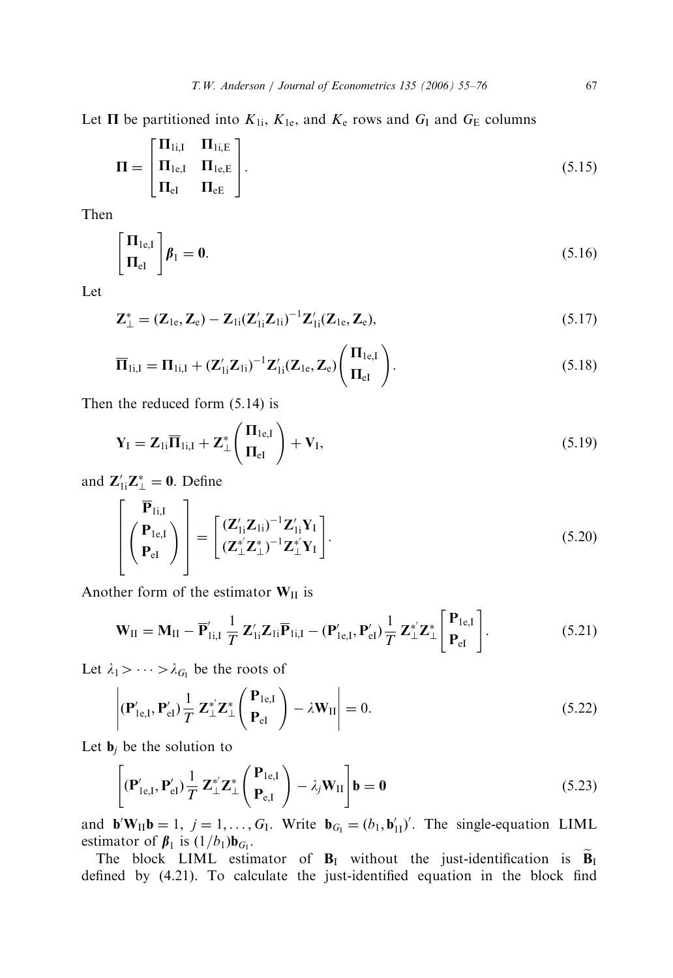Let  $\Pi$  be partitioned into  $K_{1i}$ ,  $K_{1e}$ , and  $K_{e}$  rows and  $G_{I}$  and  $G_{E}$  columns

$$
\Pi = \begin{bmatrix} \Pi_{1i,I} & \Pi_{1i,E} \\ \Pi_{1e,I} & \Pi_{1e,E} \\ \Pi_{eI} & \Pi_{eE} \end{bmatrix} .
$$
\n(5.15)

Then

$$
\begin{bmatrix} \Pi_{1e,I} \\ \Pi_{eI} \end{bmatrix} \beta_1 = 0. \tag{5.16}
$$

Let

$$
\mathbf{Z}_{\perp}^{*} = (\mathbf{Z}_{1e}, \mathbf{Z}_{e}) - \mathbf{Z}_{1i} (\mathbf{Z}_{1i}' \mathbf{Z}_{1i})^{-1} \mathbf{Z}_{1i}' (\mathbf{Z}_{1e}, \mathbf{Z}_{e}), \qquad (5.17)
$$

$$
\overline{\mathbf{\Pi}}_{1i,I} = \mathbf{\Pi}_{1i,I} + (\mathbf{Z}_{1i}'\mathbf{Z}_{1i})^{-1}\mathbf{Z}_{1i}'(\mathbf{Z}_{1e},\mathbf{Z}_{e})\left(\frac{\mathbf{\Pi}_{1e,I}}{\mathbf{\Pi}_{eI}}\right).
$$
\n(5.18)

Then the reduced form (5.14) is

$$
\mathbf{Y}_{\mathrm{I}} = \mathbf{Z}_{1i} \overline{\mathbf{\Pi}}_{1i,1} + \mathbf{Z}_{\perp}^{*} \left( \frac{\mathbf{\Pi}_{1e,1}}{\mathbf{\Pi}_{eI}} \right) + \mathbf{V}_{I}, \qquad (5.19)
$$

and  $\mathbf{Z}_{1i}'\mathbf{Z}_{\perp}^* = \mathbf{0}$ . Define

$$
\begin{bmatrix}\n\overline{\mathbf{P}}_{\text{Ii,I}} \\
\begin{pmatrix}\n\mathbf{P}_{\text{le,I}} \\
\mathbf{P}_{\text{el}}\n\end{pmatrix}\n\end{bmatrix} = \begin{bmatrix}\n(\mathbf{Z}_{1i}'\mathbf{Z}_{1i})^{-1}\mathbf{Z}_{1i}'\mathbf{Y}_{I} \\
(\mathbf{Z}_{\perp}^*\mathbf{Z}_{\perp}^*)^{-1}\mathbf{Z}_{\perp}^*\mathbf{Y}_{I}\n\end{bmatrix}.
$$
\n(5.20)

Another form of the estimator  $W_{II}$  is

$$
\mathbf{W}_{II} = \mathbf{M}_{II} - \overline{\mathbf{P}}'_{1i,I} \frac{1}{T} \mathbf{Z}'_{1i} \overline{\mathbf{P}}_{1i,I} - (\mathbf{P}'_{1e,I}, \mathbf{P}'_{eI}) \frac{1}{T} \mathbf{Z}^{*}_{\perp} \mathbf{Z}^{*}_{\perp} \begin{bmatrix} \mathbf{P}_{1e,I} \\ \mathbf{P}_{eI} \end{bmatrix} .
$$
 (5.21)

Let  $\lambda_1 > \cdots > \lambda_{G_1}$  be the roots of

$$
\left| \left( \mathbf{P}_{1e,I}^{\prime}, \mathbf{P}_{eI}^{\prime} \right) \frac{1}{T} \mathbf{Z}_{\perp}^{*} \mathbf{Z}_{\perp}^{*} \left( \begin{array}{c} \mathbf{P}_{1e,I} \\ \mathbf{P}_{eI} \end{array} \right) - \lambda \mathbf{W}_{II} \right| = 0. \tag{5.22}
$$

Let  $\mathbf{b}_i$  be the solution to

$$
\left[ \left( \mathbf{P}_{1e,I}^{\prime}, \mathbf{P}_{eI}^{\prime} \right) \frac{1}{T} \mathbf{Z}_{\perp}^{*} \mathbf{Z}_{\perp}^{*} \left( \frac{\mathbf{P}_{1e,I}}{\mathbf{P}_{e,I}} \right) - \lambda_{j} \mathbf{W}_{II} \right] \mathbf{b} = \mathbf{0}
$$
\n(5.23)

and  $\mathbf{b}'\mathbf{W}_{II}\mathbf{b} = 1, j = 1,..., G_I$ . Write  $\mathbf{b}_{G_I} = (b_1, \mathbf{b}'_{II})'$ . The single-equation LIML estimator of  $\beta_1$  is  $(1/b_1)\mathbf{b}_{G_1}$ .

The block LIML estimator of  $B_I$  without the just-identification is  $\widetilde{B}_I$ defined by (4.21). To calculate the just-identified equation in the block find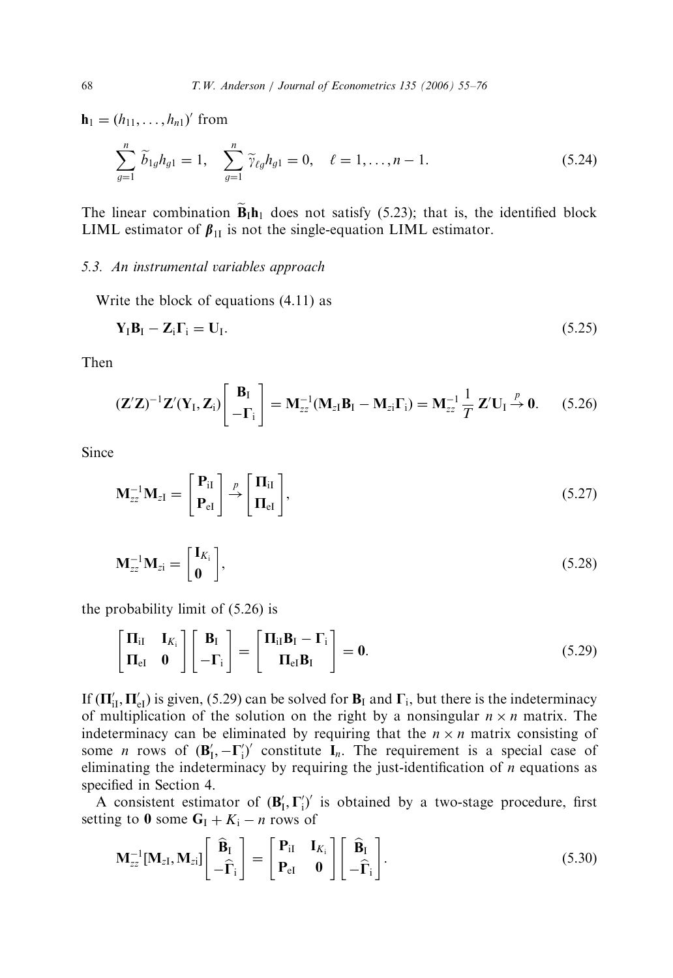**from** 

$$
\sum_{g=1}^{n} \widetilde{b}_{1g} h_{g1} = 1, \quad \sum_{g=1}^{n} \widetilde{\gamma}_{\ell g} h_{g1} = 0, \quad \ell = 1, \dots, n-1.
$$
 (5.24)

The linear combination  $\tilde{\mathbf{B}}_I \mathbf{h}_1$  does not satisfy (5.23); that is, the identified block LIML estimator of  $\beta_{1I}$  is not the single-equation LIML estimator.

### 5.3. An instrumental variables approach

Write the block of equations (4.11) as

$$
\mathbf{Y}_{\mathbf{I}}\mathbf{B}_{\mathbf{I}} - \mathbf{Z}_{\mathbf{i}}\Gamma_{\mathbf{i}} = \mathbf{U}_{\mathbf{I}}.\tag{5.25}
$$

Then

$$
(\mathbf{Z}'\mathbf{Z})^{-1}\mathbf{Z}'(\mathbf{Y}_I,\mathbf{Z}_i)\begin{bmatrix}\mathbf{B}_I\\-\mathbf{\Gamma}_i\end{bmatrix}=\mathbf{M}_{zz}^{-1}(\mathbf{M}_{zI}\mathbf{B}_I-\mathbf{M}_{zi}\mathbf{\Gamma}_i)=\mathbf{M}_{zz}^{-1}\frac{1}{T}\mathbf{Z}'\mathbf{U}_I\stackrel{p}{\rightarrow}\mathbf{0}.\qquad(5.26)
$$

**Since** 

$$
\mathbf{M}_{zz}^{-1}\mathbf{M}_{zI} = \begin{bmatrix} \mathbf{P}_{iI} \\ \mathbf{P}_{eI} \end{bmatrix} \stackrel{p}{\rightarrow} \begin{bmatrix} \mathbf{\Pi}_{iI} \\ \mathbf{\Pi}_{eI} \end{bmatrix},
$$
(5.27)

$$
\mathbf{M}_{zz}^{-1}\mathbf{M}_{zi} = \begin{bmatrix} \mathbf{I}_{K_i} \\ \mathbf{0} \end{bmatrix},\tag{5.28}
$$

the probability limit of (5.26) is

$$
\begin{bmatrix} \Pi_{iI} & I_{K_i} \\ \Pi_{eI} & 0 \end{bmatrix} \begin{bmatrix} \mathbf{B}_I \\ -\Gamma_i \end{bmatrix} = \begin{bmatrix} \Pi_{iI}\mathbf{B}_I - \Gamma_i \\ \Pi_{eI}\mathbf{B}_I \end{bmatrix} = \mathbf{0}.
$$
 (5.29)

If  $(\Pi'_{iI}, \Pi'_{eI})$  is given, (5.29) can be solved for  $B_I$  and  $\Gamma_i$ , but there is the indeterminacy of multiplication of the solution on the right by a nonsingular  $n \times n$  matrix. The indeterminacy can be eliminated by requiring that the  $n \times n$  matrix consisting of some *n* rows of  $(\mathbf{B}'_1, -\mathbf{\Gamma}'_1)'$  constitute  $\mathbf{I}_n$ . The requirement is a special case of eliminating the indeterminacy by requiring the just-identification of  $n$  equations as specified in Section 4.

A consistent estimator of  $(\mathbf{B}'_1, \Gamma'_1)'$  is obtained by a two-stage procedure, first setting to 0 some  $G_I + K_i - n$  rows of

$$
\mathbf{M}_{zz}^{-1}[\mathbf{M}_{zI}, \mathbf{M}_{zi}] \begin{bmatrix} \widehat{\mathbf{B}}_I \\ -\widehat{\boldsymbol{\Gamma}}_i \end{bmatrix} = \begin{bmatrix} \mathbf{P}_{iI} & \mathbf{I}_{K_i} \\ \mathbf{P}_{eI} & \mathbf{0} \end{bmatrix} \begin{bmatrix} \widehat{\mathbf{B}}_I \\ -\widehat{\boldsymbol{\Gamma}}_i \end{bmatrix} .
$$
 (5.30)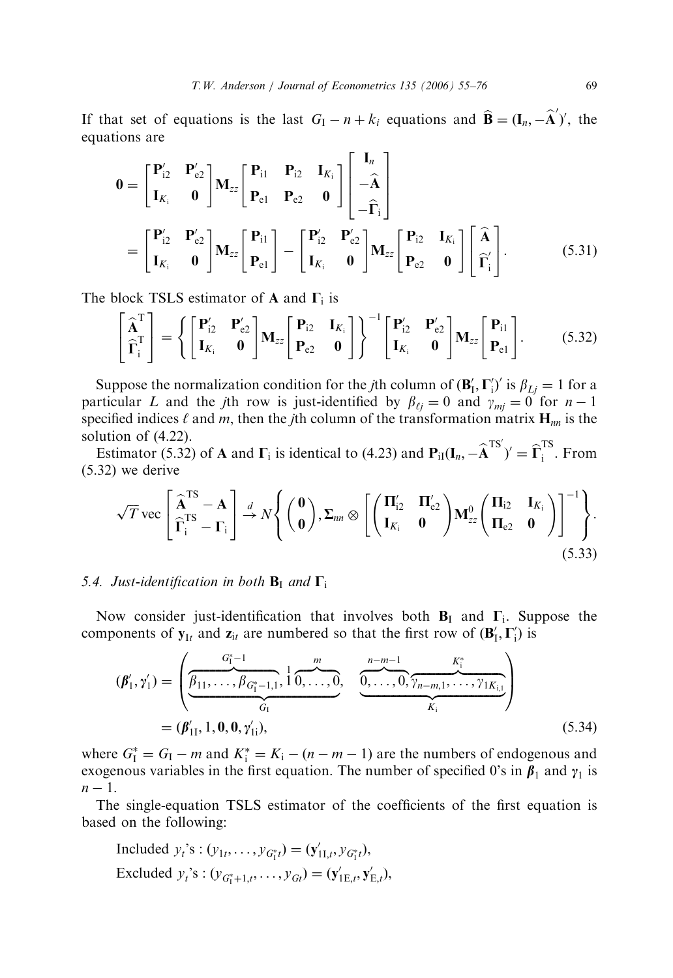If that set of equations is the last  $G_1 - n + k_i$  equations and  $\hat{\mathbf{B}} = (\mathbf{I}_n, -\hat{\mathbf{A}}')'$ , the equations are

$$
0 = \begin{bmatrix} P'_{i2} & P'_{e2} \\ I_{K_i} & 0 \end{bmatrix} M_{zz} \begin{bmatrix} P_{i1} & P_{i2} & I_{K_i} \\ P_{e1} & P_{e2} & 0 \end{bmatrix} \begin{bmatrix} I_n \\ -\hat{A} \\ -\hat{\Gamma}_i \end{bmatrix}
$$
  
= 
$$
\begin{bmatrix} P'_{i2} & P'_{e2} \\ I_{K_i} & 0 \end{bmatrix} M_{zz} \begin{bmatrix} P_{i1} \\ P_{e1} \end{bmatrix} - \begin{bmatrix} P'_{i2} & P'_{e2} \\ I_{K_i} & 0 \end{bmatrix} M_{zz} \begin{bmatrix} P_{i2} & I_{K_i} \\ P_{e2} & 0 \end{bmatrix} \begin{bmatrix} \hat{A} \\ \hat{\Gamma}'_i \end{bmatrix}.
$$
 (5.31)

The block TSLS estimator of A and  $\Gamma_i$  is

$$
\begin{bmatrix} \widehat{\mathbf{A}}^{\mathrm{T}} \\ \widehat{\boldsymbol{\Gamma}}_{i}^{\mathrm{T}} \end{bmatrix} = \left\{ \begin{bmatrix} \mathbf{P}_{i2}^{\prime} & \mathbf{P}_{e2}^{\prime} \\ \mathbf{I}_{K_{i}} & \mathbf{0} \end{bmatrix} \mathbf{M}_{zz} \begin{bmatrix} \mathbf{P}_{i2} & \mathbf{I}_{K_{i}} \\ \mathbf{P}_{e2} & \mathbf{0} \end{bmatrix} \right\}^{-1} \begin{bmatrix} \mathbf{P}_{i2}^{\prime} & \mathbf{P}_{e2}^{\prime} \\ \mathbf{I}_{K_{i}} & \mathbf{0} \end{bmatrix} \mathbf{M}_{zz} \begin{bmatrix} \mathbf{P}_{i1} \\ \mathbf{P}_{e1} \end{bmatrix} .
$$
 (5.32)

Suppose the normalization condition for the *j*th column of  $(\mathbf{B}'_1, \mathbf{\Gamma}'_1)'$  is  $\beta_{Lj} = 1$  for a particular L and the jth row is just-identified by  $\beta_{\ell j} = 0$  and  $\gamma_{m j} = 0$  for  $n - 1$ specified indices  $\ell$  and m, then the jth column of the transformation matrix  $H_{nn}$  is the solution of (4.22).

Estimator (5.32) of **A** and  $\Gamma_i$  is identical to (4.23) and  $P_{iI}(I_n, -\hat{A}^{TS'})' = \hat{\Gamma}_i^{TS}$ . From (5.32) we derive

$$
\sqrt{T}\,\text{vec}\left[\begin{matrix}\widehat{\mathbf{A}}^{TS}-\mathbf{A}\\ \widehat{\mathbf{\Gamma}}_{i}^{TS}-\mathbf{\Gamma}_{i}\end{matrix}\right]\xrightarrow{d}N\left\{\begin{pmatrix}\mathbf{0}\\ \mathbf{0}\end{pmatrix},\Sigma_{nn}\otimes\left[\begin{pmatrix}\mathbf{\Pi}_{i2}'&\mathbf{\Pi}_{e2}'\\ \mathbf{I}_{K_{i}}&\mathbf{0}\end{pmatrix}\mathbf{M}_{zz}^{0}\begin{pmatrix}\mathbf{\Pi}_{i2}&\mathbf{I}_{K_{i}}\\ \mathbf{\Pi}_{e2}&\mathbf{0}\end{pmatrix}\right]^{-1}\right\}.
$$
\n(5.33)

## 5.4. Just-identification in both  $B<sub>I</sub>$  and  $\Gamma<sub>i</sub>$

Now consider just-identification that involves both  $B<sub>I</sub>$  and  $\Gamma<sub>i</sub>$ . Suppose the components of  $y_{It}$  and  $z_{it}$  are numbered so that the first row of  $(B'_I, \Gamma'_i)$  is

$$
(\boldsymbol{\beta}'_1, \boldsymbol{\gamma}'_1) = \left( \underbrace{\underbrace{\beta_{11}, \dots, \beta_{G_1^*-1,1}}_{G_1}, \underbrace{1}_{1}, \dots, 0}_{G_1}, \underbrace{\underbrace{\beta_{1}, \dots, 0}_{G_1}, \dots, \underbrace{\gamma_{n-m,1}, \dots, \gamma_{1K_{i,1}}}_{K_i}}_{K_i} \right)
$$
\n
$$
= (\boldsymbol{\beta}'_{11}, 1, 0, 0, \boldsymbol{\gamma}'_{1i}), \qquad (5.34)
$$

where  $G_1^* = G_1 - m$  and  $K_i^* = K_i - (n - m - 1)$  are the numbers of endogenous and exogenous variables in the first equation. The number of specified 0's in  $\beta_1$  and  $\gamma_1$  is  $n-1$ .

The single-equation TSLS estimator of the coefficients of the first equation is based on the following:

Induded 
$$
y_t
$$
's:  $(y_{1t}, \ldots, y_{G_t^*t}) = (\mathbf{y}'_{11,t}, y_{G_t^*t}),$ 

\nExcluded  $y_t$ 's:  $(y_{G_t^*+1,t}, \ldots, y_{G_t}) = (\mathbf{y}'_{1E,t}, \mathbf{y}'_{E,t}),$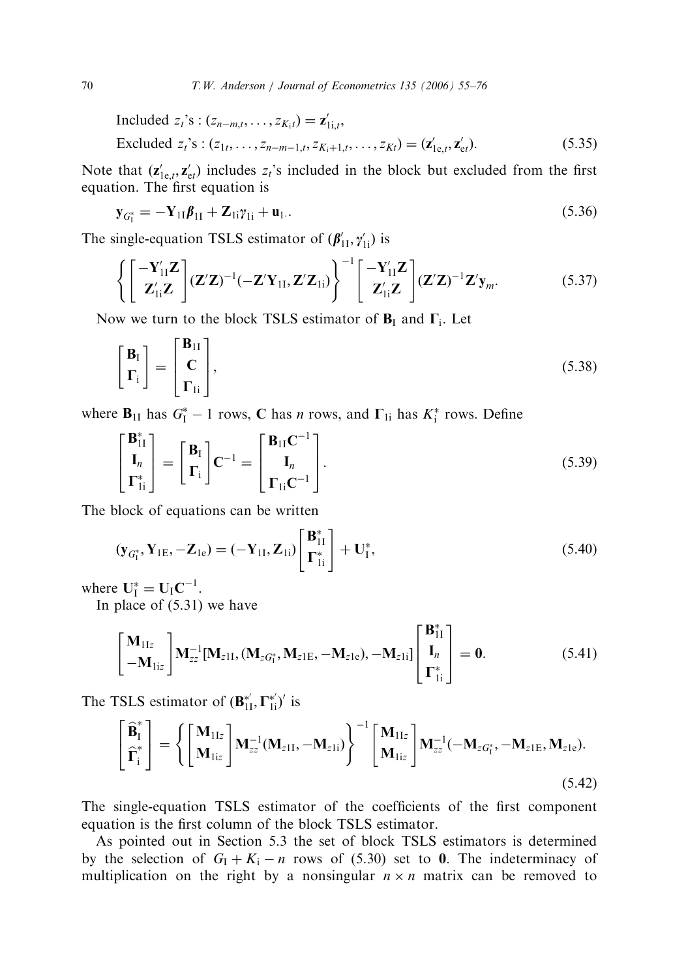Induded 
$$
z_t
$$
's:  $(z_{n-m,t}, \ldots, z_{K_i t}) = \mathbf{z}'_{1i,t}$ ,

\nExcluded  $z_t$ 's:  $(z_{1t}, \ldots, z_{n-m-1,t}, z_{K_i+1,t}, \ldots, z_{Kt}) = (\mathbf{z}'_{1e,t}, \mathbf{z}'_{et})$ .

\n(5.35)

Note that  $(\mathbf{z}_{1e,t}', \mathbf{z}_{et}')$  includes  $z_t$ 's included in the block but excluded from the first equation. The first equation is

$$
\mathbf{y}_{G_1^*} = -\mathbf{Y}_{11}\boldsymbol{\beta}_{11} + \mathbf{Z}_{1i}\boldsymbol{\gamma}_{1i} + \mathbf{u}_{1}.
$$
 (5.36)

The single-equation TSLS estimator of  $(\beta'_{1I}, \gamma'_{1i})$  is

$$
\left\{\begin{bmatrix} -\mathbf{Y}_{11}^{\prime}\mathbf{Z} \\ \mathbf{Z}_{1i}^{\prime}\mathbf{Z} \end{bmatrix} (\mathbf{Z}^{\prime}\mathbf{Z})^{-1} (-\mathbf{Z}^{\prime}\mathbf{Y}_{1I}, \mathbf{Z}^{\prime}\mathbf{Z}_{1i})\right\}^{-1} \begin{bmatrix} -\mathbf{Y}_{11}^{\prime}\mathbf{Z} \\ \mathbf{Z}_{1i}^{\prime}\mathbf{Z} \end{bmatrix} (\mathbf{Z}^{\prime}\mathbf{Z})^{-1} \mathbf{Z}^{\prime}\mathbf{y}_{m}. \tag{5.37}
$$

Now we turn to the block TSLS estimator of  $B<sub>I</sub>$  and  $\Gamma<sub>i</sub>$ . Let

$$
\begin{bmatrix} \mathbf{B}_{\mathrm{I}} \\ \boldsymbol{\Gamma}_{\mathrm{i}} \end{bmatrix} = \begin{bmatrix} \mathbf{B}_{\mathrm{II}} \\ \mathbf{C} \\ \boldsymbol{\Gamma}_{\mathrm{I}i} \end{bmatrix},\tag{5.38}
$$

where  $\mathbf{B}_{11}$  has  $G_1^* - 1$  rows, C has *n* rows, and  $\Gamma_{1i}$  has  $K_i^*$  rows. Define

$$
\begin{bmatrix} \mathbf{B}_{11}^* \\ \mathbf{I}_n \\ \mathbf{\Gamma}_{1i}^* \end{bmatrix} = \begin{bmatrix} \mathbf{B}_I \\ \mathbf{\Gamma}_i \end{bmatrix} \mathbf{C}^{-1} = \begin{bmatrix} \mathbf{B}_{11} \mathbf{C}^{-1} \\ \mathbf{I}_n \\ \mathbf{\Gamma}_{1i} \mathbf{C}^{-1} \end{bmatrix} .
$$
 (5.39)

The block of equations can be written

$$
(\mathbf{y}_{G_1^*}, \mathbf{Y}_{1E}, -\mathbf{Z}_{1e}) = (-\mathbf{Y}_{1I}, \mathbf{Z}_{1i}) \begin{bmatrix} \mathbf{B}_{1I}^* \\ \Gamma_{1i}^* \end{bmatrix} + \mathbf{U}_I^*,
$$
 (5.40)

where  $U_I^* = U_I C^{-1}$ .

In place of (5.31) we have

$$
\begin{bmatrix}\n\mathbf{M}_{1Iz} \\
-\mathbf{M}_{1iz}\n\end{bmatrix}\n\mathbf{M}_{zz}^{-1}[\mathbf{M}_{zII}, (\mathbf{M}_{zG_1^*}, \mathbf{M}_{zIE}, -\mathbf{M}_{zIe}), -\mathbf{M}_{zIi}]\n\begin{bmatrix}\n\mathbf{B}_{1I}^* \\
\mathbf{I}_n \\
\mathbf{\Gamma}_{1i}^*\n\end{bmatrix} = 0.
$$
\n(5.41)

The TSLS estimator of  $(\mathbf{B}_{11}^{*}, \Gamma_{1i}^{*})'$  is

$$
\begin{bmatrix} \hat{\mathbf{B}}_I^* \\ \hat{\mathbf{\Gamma}}_i^* \end{bmatrix} = \left\{ \begin{bmatrix} \mathbf{M}_{1Iz} \\ \mathbf{M}_{1iz} \end{bmatrix} \mathbf{M}_{zz}^{-1} (\mathbf{M}_{z1I}, -\mathbf{M}_{z1i}) \right\}^{-1} \begin{bmatrix} \mathbf{M}_{1Iz} \\ \mathbf{M}_{1iz} \end{bmatrix} \mathbf{M}_{zz}^{-1} (-\mathbf{M}_{zG_1^*}, -\mathbf{M}_{z1E}, \mathbf{M}_{z1e}).
$$
\n(5.42)

The single-equation TSLS estimator of the coefficients of the first component equation is the first column of the block TSLS estimator.

As pointed out in Section 5.3 the set of block TSLS estimators is determined by the selection of  $G_1 + K_1 - n$  rows of (5.30) set to 0. The indeterminacy of multiplication on the right by a nonsingular  $n \times n$  matrix can be removed to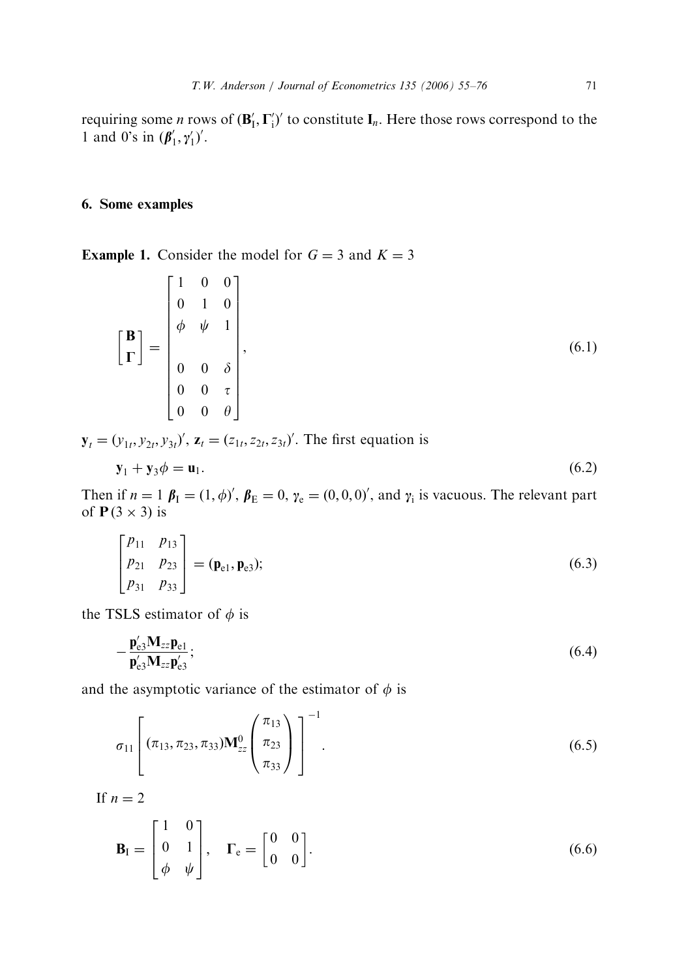requiring some *n* rows of  $(\mathbf{B}'_I, \Gamma'_i)'$  to constitute  $\mathbf{I}_n$ . Here those rows correspond to the 1 and 0's in  $(\beta'_1, \gamma'_1)'$ .

## 6. Some examples

**Example 1.** Consider the model for  $G = 3$  and  $K = 3$ 

$$
\begin{bmatrix} \mathbf{B} \\ \mathbf{\Gamma} \end{bmatrix} = \begin{bmatrix} 1 & 0 & 0 \\ 0 & 1 & 0 \\ \phi & \psi & 1 \\ 0 & 0 & \delta \\ 0 & 0 & \tau \\ 0 & 0 & \theta \end{bmatrix},
$$
(6.1)

 $\mathbf{y}_t = (y_{1t}, y_{2t}, y_{3t})'$ ,  $\mathbf{z}_t = (z_{1t}, z_{2t}, z_{3t})'$ . The first equation is

$$
\mathbf{y}_1 + \mathbf{y}_3 \phi = \mathbf{u}_1. \tag{6.2}
$$

Then if  $n = 1$   $\beta_I = (1, \phi)'$ ,  $\beta_E = 0$ ,  $\gamma_e = (0, 0, 0)'$ , and  $\gamma_i$  is vacuous. The relevant part of  $P(3 \times 3)$  is

$$
\begin{bmatrix} p_{11} & p_{13} \\ p_{21} & p_{23} \\ p_{31} & p_{33} \end{bmatrix} = (\mathbf{p}_{e1}, \mathbf{p}_{e3});
$$
\n(6.3)

the TSLS estimator of  $\phi$  is

$$
-\frac{\mathbf{p}'_{e3}\mathbf{M}_{zz}\mathbf{p}_{e1}}{\mathbf{p}'_{e3}\mathbf{M}_{zz}\mathbf{p}'_{e3}};
$$
\n(6.4)

and the asymptotic variance of the estimator of  $\phi$  is

$$
\sigma_{11}\left[(\pi_{13}, \pi_{23}, \pi_{33})\mathbf{M}_{zz}^0 \left(\frac{\pi_{13}}{\pi_{23}}\right)\right]^{-1}.
$$
\n(6.5)

If  $n = 2$ 

$$
\mathbf{B}_{\mathrm{I}} = \begin{bmatrix} 1 & 0 \\ 0 & 1 \\ \phi & \psi \end{bmatrix}, \quad \Gamma_{\mathrm{e}} = \begin{bmatrix} 0 & 0 \\ 0 & 0 \end{bmatrix}.
$$
 (6.6)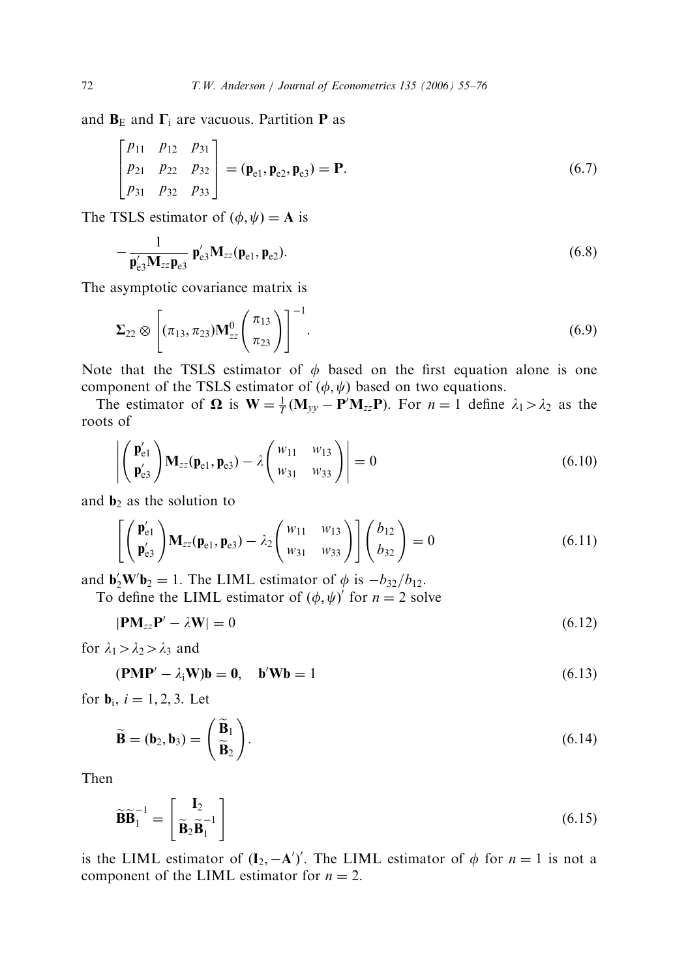and  $B<sub>E</sub>$  and  $\Gamma$ <sub>i</sub> are vacuous. Partition **P** as

$$
\begin{bmatrix} p_{11} & p_{12} & p_{31} \ p_{21} & p_{22} & p_{32} \ p_{31} & p_{32} & p_{33} \end{bmatrix} = (\mathbf{p}_{e1}, \mathbf{p}_{e2}, \mathbf{p}_{e3}) = \mathbf{P}.
$$
 (6.7)

The TSLS estimator of  $(\phi, \psi) = A$  is

$$
-\frac{1}{\mathbf{p}'_{e3}\mathbf{M}_{zz}\mathbf{p}_{e3}}\mathbf{p}'_{e3}\mathbf{M}_{zz}(\mathbf{p}_{e1},\mathbf{p}_{e2}).
$$
\n(6.8)

The asymptotic covariance matrix is

$$
\Sigma_{22} \otimes \left[ (\pi_{13}, \pi_{23}) \mathbf{M}_{zz}^0 \left( \frac{\pi_{13}}{\pi_{23}} \right) \right]^{-1} . \tag{6.9}
$$

Note that the TSLS estimator of  $\phi$  based on the first equation alone is one component of the TSLS estimator of  $(\phi, \psi)$  based on two equations.

The estimator of  $\Omega$  is  $W = \frac{1}{T} (M_{yy} - P'M_{zz}P)$ . For  $n = 1$  define  $\lambda_1 > \lambda_2$  as the roots of

$$
\left| \begin{pmatrix} \mathbf{p}'_{e1} \\ \mathbf{p}'_{e3} \end{pmatrix} \mathbf{M}_{zz}(\mathbf{p}_{e1}, \mathbf{p}_{e3}) - \lambda \begin{pmatrix} w_{11} & w_{13} \\ w_{31} & w_{33} \end{pmatrix} \right| = 0
$$
\n(6.10)

and  $\mathbf{b}_2$  as the solution to

$$
\left[ \begin{pmatrix} \mathbf{p}'_{e1} \\ \mathbf{p}'_{e3} \end{pmatrix} \mathbf{M}_{zz}(\mathbf{p}_{e1}, \mathbf{p}_{e3}) - \lambda_2 \begin{pmatrix} w_{11} & w_{13} \\ w_{31} & w_{33} \end{pmatrix} \right] \begin{pmatrix} b_{12} \\ b_{32} \end{pmatrix} = 0 \tag{6.11}
$$

and  $\mathbf{b}_2' \mathbf{W}' \mathbf{b}_2 = 1$ . The LIML estimator of  $\phi$  is  $-b_{32}/b_{12}$ .

To define the LIML estimator of  $(\phi, \psi)'$  for  $n = 2$  solve

 $|\text{PM}_{zz}\text{P}' - \lambda \text{W}| = 0$  (6.12)

for  $\lambda_1 > \lambda_2 > \lambda_3$  and

$$
(\mathbf{PMP'} - \lambda_i \mathbf{W})\mathbf{b} = 0, \quad \mathbf{b'}\mathbf{W}\mathbf{b} = 1 \tag{6.13}
$$

for **,**  $i = 1, 2, 3$ **. Let** 

$$
\widetilde{\mathbf{B}} = (\mathbf{b}_2, \mathbf{b}_3) = \begin{pmatrix} \widetilde{\mathbf{B}}_1 \\ \widetilde{\mathbf{B}}_2 \end{pmatrix} .
$$
\n(6.14)

Then

$$
\widetilde{\mathbf{B}}\widetilde{\mathbf{B}}_1^{-1} = \begin{bmatrix} \mathbf{I}_2 \\ \widetilde{\mathbf{B}}_2 \widetilde{\mathbf{B}}_1^{-1} \end{bmatrix} \tag{6.15}
$$

is the LIML estimator of  $(I_2, -A')'$ . The LIML estimator of  $\phi$  for  $n = 1$  is not a component of the LIML estimator for  $n = 2$ .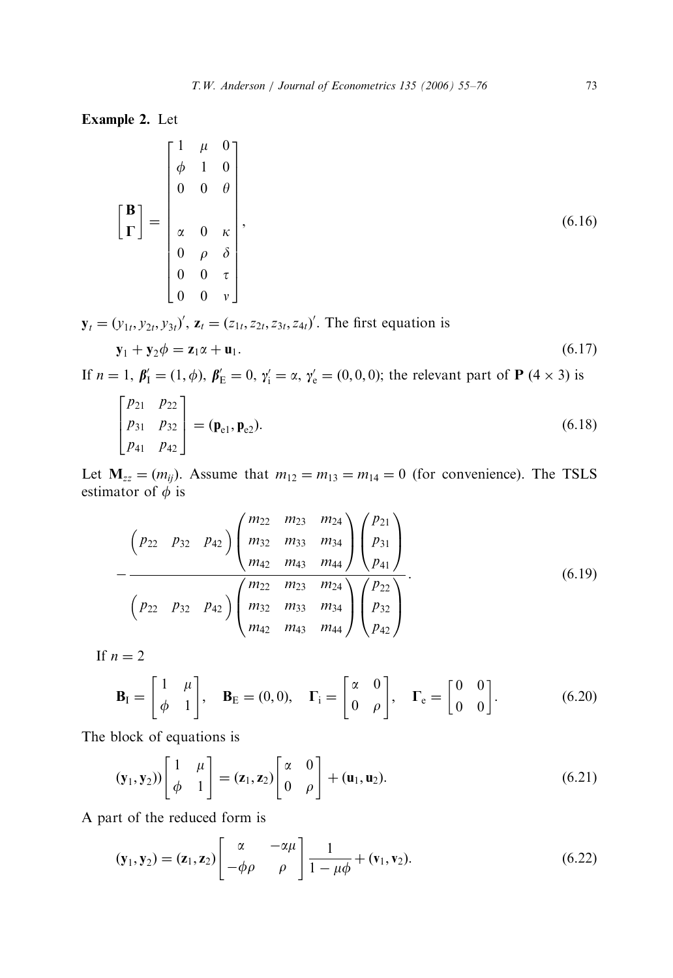Example 2. Let

$$
\begin{bmatrix} \mathbf{B} \\ \mathbf{F} \end{bmatrix} = \begin{bmatrix} 1 & \mu & 0 \\ \phi & 1 & 0 \\ 0 & 0 & \theta \\ \alpha & 0 & \kappa \\ 0 & \rho & \delta \\ 0 & 0 & \tau \\ 0 & 0 & \nu \end{bmatrix},
$$
(6.16)

 $\mathbf{y}_t = (y_{1t}, y_{2t}, y_{3t})'$ ,  $\mathbf{z}_t = (z_{1t}, z_{2t}, z_{3t}, z_{4t})'$ . The first equation is

$$
\mathbf{y}_1 + \mathbf{y}_2 \phi = \mathbf{z}_1 \alpha + \mathbf{u}_1. \tag{6.17}
$$

If  $n = 1$ ,  $\beta'_1 = (1, \phi)$ ,  $\beta'_E = 0$ ,  $\gamma'_i = \alpha$ ,  $\gamma'_e = (0, 0, 0)$ ; the relevant part of **P** (4 × 3) is

$$
\begin{bmatrix} p_{21} & p_{22} \\ p_{31} & p_{32} \\ p_{41} & p_{42} \end{bmatrix} = (\mathbf{p}_{e1}, \mathbf{p}_{e2}).
$$
\n(6.18)

Let  $M_{zz} = (m_{ij})$ . Assume that  $m_{12} = m_{13} = m_{14} = 0$  (for convenience). The TSLS estimator of  $\phi$  is

$$
\left(P_{22} \quad P_{32} \quad P_{42}\right) \left(\begin{array}{ccc} m_{22} & m_{23} & m_{24} \\ m_{32} & m_{33} & m_{34} \\ m_{42} & m_{43} & m_{44} \end{array}\right) \left(\begin{array}{c} p_{21} \\ p_{31} \\ p_{41} \end{array}\right) - \left(\begin{array}{ccc} p_{22} \\ p_{32} & p_{42} \end{array}\right) \left(\begin{array}{ccc} m_{22} & m_{23} & m_{24} \\ m_{32} & m_{33} & m_{34} \\ m_{42} & m_{43} & m_{44} \end{array}\right) \left(\begin{array}{c} p_{22} \\ p_{32} \\ p_{42} \end{array}\right).
$$
\n(6.19)

If  $n = 2$ 

$$
\mathbf{B}_{\rm I} = \begin{bmatrix} 1 & \mu \\ \phi & 1 \end{bmatrix}, \quad \mathbf{B}_{\rm E} = (0,0), \quad \Gamma_{\rm i} = \begin{bmatrix} \alpha & 0 \\ 0 & \rho \end{bmatrix}, \quad \Gamma_{\rm e} = \begin{bmatrix} 0 & 0 \\ 0 & 0 \end{bmatrix}.
$$
 (6.20)

The block of equations is

$$
(\mathbf{y}_1, \mathbf{y}_2)) \begin{bmatrix} 1 & \mu \\ \phi & 1 \end{bmatrix} = (\mathbf{z}_1, \mathbf{z}_2) \begin{bmatrix} \alpha & 0 \\ 0 & \rho \end{bmatrix} + (\mathbf{u}_1, \mathbf{u}_2). \tag{6.21}
$$

A part of the reduced form is

$$
(\mathbf{y}_1, \mathbf{y}_2) = (\mathbf{z}_1, \mathbf{z}_2) \begin{bmatrix} \alpha & -\alpha\mu \\ -\phi\rho & \rho \end{bmatrix} \frac{1}{1-\mu\phi} + (\mathbf{v}_1, \mathbf{v}_2). \tag{6.22}
$$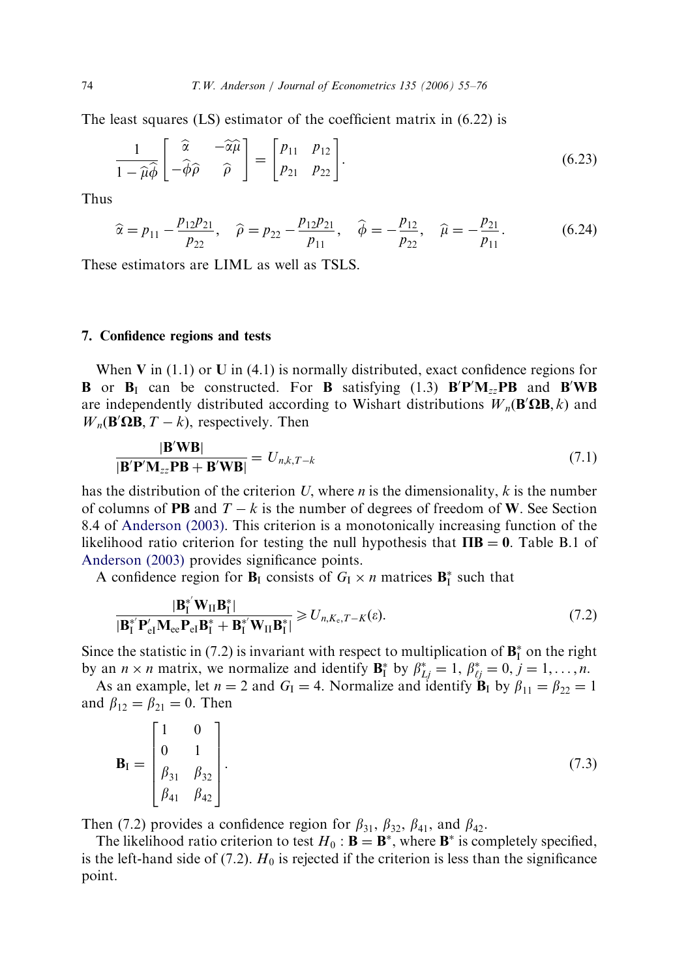The least squares (LS) estimator of the coefficient matrix in (6.22) is

$$
\frac{1}{1-\widehat{\mu}\widehat{\phi}}\begin{bmatrix}\widehat{\alpha} & -\widehat{\alpha}\widehat{\mu} \\ -\widehat{\phi}\widehat{\rho} & \widehat{\rho}\end{bmatrix} = \begin{bmatrix}p_{11} & p_{12} \\ p_{21} & p_{22}\end{bmatrix}.
$$
\n(6.23)

Thus

$$
\widehat{\alpha} = p_{11} - \frac{p_{12}p_{21}}{p_{22}}, \quad \widehat{\rho} = p_{22} - \frac{p_{12}p_{21}}{p_{11}}, \quad \widehat{\phi} = -\frac{p_{12}}{p_{22}}, \quad \widehat{\mu} = -\frac{p_{21}}{p_{11}}.
$$
 (6.24)

These estimators are LIML as well as TSLS.

#### 7. Confidence regions and tests

When V in  $(1.1)$  or U in  $(4.1)$  is normally distributed, exact confidence regions for **B** or **B**<sub>I</sub> can be constructed. For **B** satisfying (1.3)  $B'P'M_{zz}PB$  and  $B'WB$ are independently distributed according to Wishart distributions  $W_n(\mathbf{B}'\Omega\mathbf{B}, k)$  and  $W_n(\mathbf{B}'\Omega\mathbf{B}, T - k)$ , respectively. Then

$$
\frac{|\mathbf{B}'\mathbf{W}\mathbf{B}|}{|\mathbf{B}'\mathbf{P}'\mathbf{M}_{zz}\mathbf{P}\mathbf{B} + \mathbf{B}'\mathbf{W}\mathbf{B}|} = U_{n,k,T-k}
$$
\n(7.1)

has the distribution of the criterion U, where *n* is the dimensionality,  $k$  is the number of columns of **PB** and  $T - k$  is the number of degrees of freedom of W. See Section 8.4 of [Anderson \(2003\).](#page-21-0) This criterion is a monotonically increasing function of the likelihood ratio criterion for testing the null hypothesis that  $\Pi \mathbf{B} = \mathbf{0}$ . Table B.1 of [Anderson \(2003\)](#page-21-0) provides significance points.

A confidence region for  $B_I$  consists of  $G_I \times n$  matrices  $B_I^*$  such that

$$
\frac{\left|\mathbf{B}_{\mathrm{I}}^{\ast'}\mathbf{W}_{\mathrm{II}}\mathbf{B}_{\mathrm{I}}^{\ast}\right|}{\left|\mathbf{B}_{\mathrm{I}}^{\ast'}\mathbf{P}_{\mathrm{el}}'\mathbf{M}_{\mathrm{ce}}\mathbf{P}_{\mathrm{el}}\mathbf{B}_{\mathrm{I}}^{\ast} + \mathbf{B}_{\mathrm{I}}^{\ast'}\mathbf{W}_{\mathrm{II}}\mathbf{B}_{\mathrm{I}}^{\ast}\right|} \geqslant U_{n,K_{\mathrm{e}},T-K}(\varepsilon). \tag{7.2}
$$

Since the statistic in (7.2) is invariant with respect to multiplication of  $\mathbf{B}_{I}^{*}$  on the right by an  $n \times n$  matrix, we normalize and identify  $\mathbf{B}_{I}^{*}$  by  $\beta_{Lj}^{*} = 1, \beta_{\ell j}^{*} = 0, j = 1, ..., n$ .

As an example, let  $n = 2$  and  $G_I = 4$ . Normalize and identify  $\mathbf{B}_I$  by  $\beta_{11} = \beta_{22} = 1$ and  $\beta_{12} = \beta_{21} = 0$ . Then

$$
\mathbf{B}_{I} = \begin{bmatrix} 1 & 0 \\ 0 & 1 \\ \beta_{31} & \beta_{32} \\ \beta_{41} & \beta_{42} \end{bmatrix} .
$$
 (7.3)

Then (7.2) provides a confidence region for  $\beta_{31}$ ,  $\beta_{32}$ ,  $\beta_{41}$ , and  $\beta_{42}$ .

The likelihood ratio criterion to test  $H_0$ :  $\mathbf{B} = \mathbf{B}^*$ , where  $\mathbf{B}^*$  is completely specified, is the left-hand side of (7.2).  $H_0$  is rejected if the criterion is less than the significance point.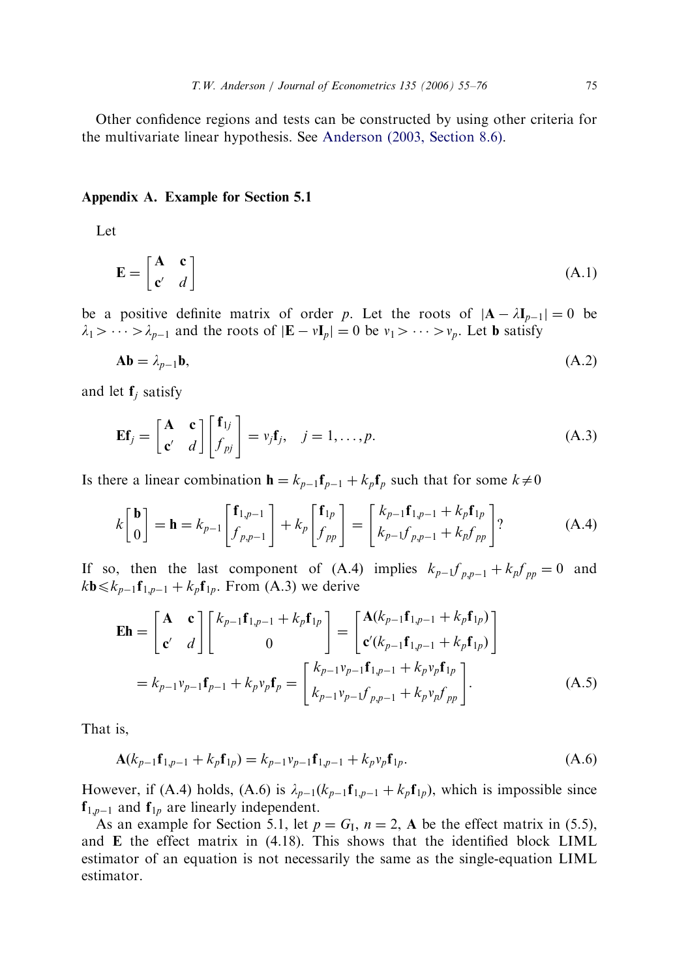Other confidence regions and tests can be constructed by using other criteria for the multivariate linear hypothesis. See [Anderson \(2003, Section 8.6\)](#page-21-0).

#### Appendix A. Example for Section 5.1

Let

$$
\mathbf{E} = \begin{bmatrix} \mathbf{A} & \mathbf{c} \\ \mathbf{c'} & d \end{bmatrix}
$$
 (A.1)

be a positive definite matrix of order p. Let the roots of  $|A - \lambda I_{p-1}| = 0$  be  $\lambda_1 > \cdots > \lambda_{p-1}$  and the roots of  $|\mathbf{E} - v \mathbf{I}_p| = 0$  be  $v_1 > \cdots > v_p$ . Let **b** satisfy

$$
Ab = \lambda_{p-1}b,\tag{A.2}
$$

and let  $f_i$  satisfy

$$
\mathbf{E} \mathbf{f}_j = \begin{bmatrix} \mathbf{A} & \mathbf{c} \\ \mathbf{c}' & d \end{bmatrix} \begin{bmatrix} \mathbf{f}_{1j} \\ f_{pj} \end{bmatrix} = v_j \mathbf{f}_j, \quad j = 1, \dots, p.
$$
 (A.3)

Is there a linear combination  $\mathbf{h} = k_{p-1} \mathbf{f}_{p-1} + k_p \mathbf{f}_p$  such that for some  $k \neq 0$ 

$$
k\begin{bmatrix} \mathbf{b} \\ 0 \end{bmatrix} = \mathbf{h} = k_{p-1} \begin{bmatrix} \mathbf{f}_{1,p-1} \\ f_{p,p-1} \end{bmatrix} + k_p \begin{bmatrix} \mathbf{f}_{1p} \\ f_{pp} \end{bmatrix} = \begin{bmatrix} k_{p-1} \mathbf{f}_{1,p-1} + k_p \mathbf{f}_{1p} \\ k_{p-1} f_{p,p-1} + k_p f_{pp} \end{bmatrix} ? \tag{A.4}
$$

If so, then the last component of (A.4) implies  $k_{p-1}f_{p,p-1} + k_{p}f_{pp} = 0$  and  $k\mathbf{b} \leq k_{p-1}\mathbf{f}_{1,p-1} + k_p\mathbf{f}_{1p}$ . From (A.3) we derive

$$
\mathbf{E}h = \begin{bmatrix} \mathbf{A} & \mathbf{c} \\ \mathbf{c}' & d \end{bmatrix} \begin{bmatrix} k_{p-1}\mathbf{f}_{1,p-1} + k_p\mathbf{f}_{1p} \\ 0 \end{bmatrix} = \begin{bmatrix} \mathbf{A}(k_{p-1}\mathbf{f}_{1,p-1} + k_p\mathbf{f}_{1p}) \\ \mathbf{c}'(k_{p-1}\mathbf{f}_{1,p-1} + k_p\mathbf{f}_{1p}) \end{bmatrix}
$$

$$
= k_{p-1}v_{p-1}\mathbf{f}_{p-1} + k_pv_p\mathbf{f}_p = \begin{bmatrix} k_{p-1}v_{p-1}\mathbf{f}_{1,p-1} + k_pv_p\mathbf{f}_{1p} \\ k_{p-1}v_{p-1}\mathbf{f}_{p,p-1} + k_pv_p\mathbf{f}_{pp} \end{bmatrix} .
$$
(A.5)

That is,

$$
\mathbf{A}(k_{p-1}\mathbf{f}_{1,p-1} + k_p \mathbf{f}_{1p}) = k_{p-1}v_{p-1}\mathbf{f}_{1,p-1} + k_p v_p \mathbf{f}_{1p}.
$$
\n(A.6)

However, if (A.4) holds, (A.6) is  $\lambda_{p-1}(k_{p-1}f_{1,p-1} + k_p f_{1p})$ , which is impossible since  $f_{1,p-1}$  and  $f_{1p}$  are linearly independent.

As an example for Section 5.1, let  $p = G<sub>I</sub>$ ,  $n = 2$ , A be the effect matrix in (5.5), and E the effect matrix in (4.18). This shows that the identified block LIML estimator of an equation is not necessarily the same as the single-equation LIML estimator.